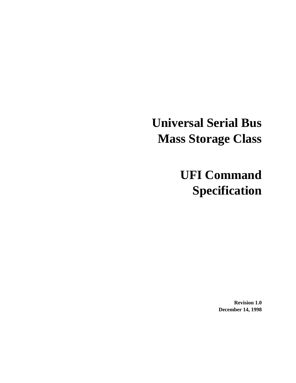# **Universal Serial Bus Mass Storage Class**

# **UFI Command Specification**

**Revision 1.0 December 14, 1998**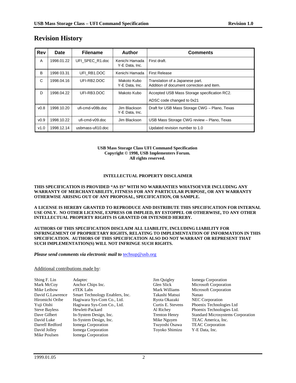| <b>Rev</b>       | <b>Date</b> | <b>Filename</b>   | <b>Author</b>                    | <b>Comments</b>                                                              |  |  |
|------------------|-------------|-------------------|----------------------------------|------------------------------------------------------------------------------|--|--|
| A                | 1998.01.22  | UFI_SPEC_R1.doc   | Kenichi Hamada<br>Y-E Data, Inc. | First draft.                                                                 |  |  |
| B                | 1998 03.31  | UFI RB1.DOC       | Kenichi Hamada                   | <b>First Release</b>                                                         |  |  |
| C                | 1998.04.16  | UFI-RB2.DOC       | Makoto Kubo<br>Y-E Data, Inc.    | Translation of a Japanese part.<br>Addition of document correction and item. |  |  |
| D                | 1998.04.22  | UFI-RB3.DOC       | Makoto Kubo                      | Accepted USB Mass Storage specification RC2.                                 |  |  |
|                  |             |                   |                                  | ADSC code changed to 0x21                                                    |  |  |
| v <sub>0.8</sub> | 1998.10.20  | ufi-cmd-v08b.doc  | Jim Blackson<br>Y-E Data, Inc.   | Draft for USB Mass Storage CWG - Plano, Texas                                |  |  |
| V <sub>0.9</sub> | 1998.10.22  | ufi-cmd-v09.doc   | Jim Blackson                     | USB Mass Storage CWG review - Plano, Texas                                   |  |  |
| V1.0             | 1998.12.14  | usbmass-ufi10.doc |                                  | Updated revision number to 1.0                                               |  |  |

# **Revision History**

#### **USB Mass Storage Class UFI Command Specification Copyright © 1998, USB Implementers Forum. All rights reserved.**

#### **INTELLECTUAL PROPERTY DISCLAIMER**

#### **THIS SPECIFICATION IS PROVIDED "AS IS" WITH NO WARRANTIES WHATSOEVER INCLUDING ANY WARRANTY OF MERCHANTABILITY, FITNESS FOR ANY PARTICULAR PURPOSE, OR ANY WARRANTY OTHERWISE ARISING OUT OF ANY PROPOSAL, SPECIFICATION, OR SAMPLE.**

**A LICENSE IS HEREBY GRANTED TO REPRODUCE AND DISTRIBUTE THIS SPECIFICATION FOR INTERNAL USE ONLY. NO OTHER LICENSE, EXPRESS OR IMPLIED, BY ESTOPPEL OR OTHERWISE, TO ANY OTHER INTELLECTUAL PROPERTY RIGHTS IS GRANTED OR INTENDED HEREBY.**

#### **AUTHORS OF THIS SPECIFICATION DISCLAIM ALL LIABILITY, INCLUDING LIABILITY FOR INFRINGEMENT OF PROPRIETARY RIGHTS, RELATING TO IMPLEMENTATION OF INFORMATION IN THIS SPECIFICATION. AUTHORS OF THIS SPECIFICATION ALSO DO NOT WARRANT OR REPRESENT THAT SUCH IMPLEMENTATION(S) WILL NOT INFRINGE SUCH RIGHTS.**

#### *Please send comments via electronic mail to* **the** *techsup@usb.org*

#### Additional contributions made by:

| Adaptec | Jim Quigley                                                                                                                                                                                                                                                            | Iomega Corporation                       |
|---------|------------------------------------------------------------------------------------------------------------------------------------------------------------------------------------------------------------------------------------------------------------------------|------------------------------------------|
|         | Glen Slick                                                                                                                                                                                                                                                             | Microsoft Corporation                    |
|         | Mark Williams                                                                                                                                                                                                                                                          | <b>Microsoft Corporation</b>             |
|         | Takashi Matsui                                                                                                                                                                                                                                                         | Nanao                                    |
|         | Ryota Okazaki                                                                                                                                                                                                                                                          | <b>NEC</b> Corporation                   |
|         | Curtis E. Stevens                                                                                                                                                                                                                                                      | Phoenix Technologies Ltd                 |
|         | Al Richey                                                                                                                                                                                                                                                              | Phoenix Technologies Ltd.                |
|         | <b>Trenton Henry</b>                                                                                                                                                                                                                                                   | <b>Standard Microsystems Corporation</b> |
|         | Mike Nguyen                                                                                                                                                                                                                                                            | TEAC America, Inc.                       |
|         | Tsuyoshi Osawa                                                                                                                                                                                                                                                         | <b>TEAC</b> Corporation                  |
|         | Toyoko Shimizu                                                                                                                                                                                                                                                         | Y-E Data, Inc.                           |
|         |                                                                                                                                                                                                                                                                        |                                          |
|         | Anchor Chips Inc.<br>eTEK Labs<br>Smart Technology Enablers, Inc.<br>Hagiwara Sys-Com Co., Ltd.<br>Hagiwara Sys-Com Co., Ltd.<br>Hewlett-Packard<br>In-System Design, Inc.<br>In-System Design, Inc.<br>Iomega Corporation<br>Iomega Corporation<br>Iomega Corporation |                                          |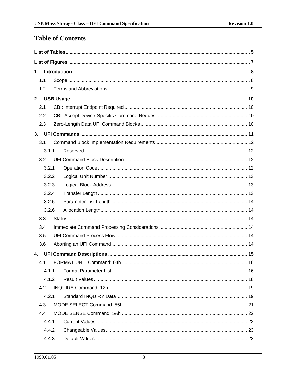# **Table of Contents**

| 1.  |       |  |  |  |  |  |  |  |
|-----|-------|--|--|--|--|--|--|--|
| 1.1 |       |  |  |  |  |  |  |  |
|     | 1.2   |  |  |  |  |  |  |  |
|     |       |  |  |  |  |  |  |  |
| 2.1 |       |  |  |  |  |  |  |  |
| 2.2 |       |  |  |  |  |  |  |  |
| 2.3 |       |  |  |  |  |  |  |  |
|     |       |  |  |  |  |  |  |  |
| 3.1 |       |  |  |  |  |  |  |  |
|     | 3.1.1 |  |  |  |  |  |  |  |
| 3.2 |       |  |  |  |  |  |  |  |
|     | 3.2.1 |  |  |  |  |  |  |  |
|     | 3.2.2 |  |  |  |  |  |  |  |
|     | 3.2.3 |  |  |  |  |  |  |  |
|     | 3.2.4 |  |  |  |  |  |  |  |
|     | 3.2.5 |  |  |  |  |  |  |  |
|     | 3.2.6 |  |  |  |  |  |  |  |
| 3.3 |       |  |  |  |  |  |  |  |
| 3.4 |       |  |  |  |  |  |  |  |
| 3.5 |       |  |  |  |  |  |  |  |
| 3.6 |       |  |  |  |  |  |  |  |
| 4.  |       |  |  |  |  |  |  |  |
| 4.1 |       |  |  |  |  |  |  |  |
|     | 4.1.1 |  |  |  |  |  |  |  |
|     | 4.1.2 |  |  |  |  |  |  |  |
| 4.2 |       |  |  |  |  |  |  |  |
|     | 4.2.1 |  |  |  |  |  |  |  |
| 4.3 |       |  |  |  |  |  |  |  |
| 4.4 |       |  |  |  |  |  |  |  |
|     | 4.4.1 |  |  |  |  |  |  |  |
|     | 4.4.2 |  |  |  |  |  |  |  |
|     | 4.4.3 |  |  |  |  |  |  |  |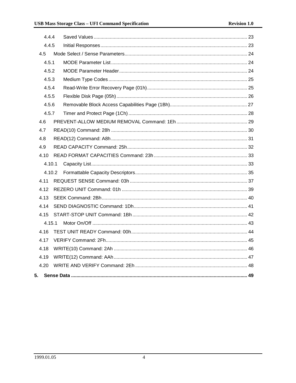| 4.4.4 |        |  |
|-------|--------|--|
| 4.4.5 |        |  |
| 4.5   |        |  |
| 4.5.1 |        |  |
| 4.5.2 |        |  |
| 4.5.3 |        |  |
| 4.5.4 |        |  |
| 4.5.5 |        |  |
| 4.5.6 |        |  |
| 4.5.7 |        |  |
| 4.6   |        |  |
| 4.7   |        |  |
| 4.8   |        |  |
| 4.9   |        |  |
| 4.10  |        |  |
|       | 4.10.1 |  |
|       | 4.10.2 |  |
| 4.11  |        |  |
| 4.12  |        |  |
| 4.13  |        |  |
| 4.14  |        |  |
| 4.15  |        |  |
|       | 4.15.1 |  |
| 4.16  |        |  |
| 4.17  |        |  |
| 4.18  |        |  |
| 4.19  |        |  |
| 4.20  |        |  |
| 5.    |        |  |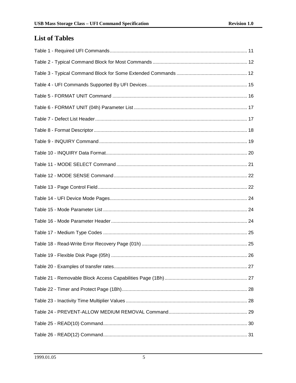# **List of Tables**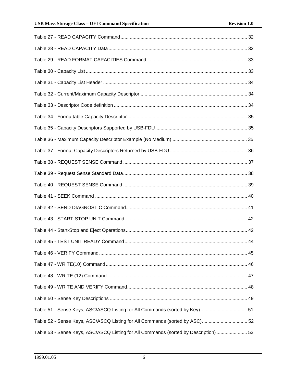| Table 51 - Sense Keys, ASC/ASCQ Listing for All Commands (sorted by Key) 51          |  |
|--------------------------------------------------------------------------------------|--|
| Table 52 - Sense Keys, ASC/ASCQ Listing for All Commands (sorted by ASC) 52          |  |
| Table 53 - Sense Keys, ASC/ASCQ Listing for All Commands (sorted by Description)  53 |  |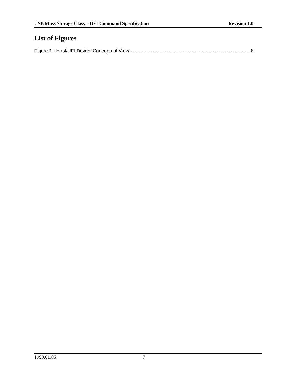# **List of Figures**

|--|--|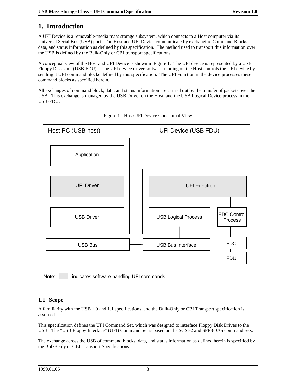# **1. Introduction**

A UFI Device is a removable-media mass storage subsystem, which connects to a Host computer via its Universal Serial Bus (USB) port. The Host and UFI Device communicate by exchanging Command Blocks, data, and status information as defined by this specification. The method used to transport this information over the USB is defined by the Bulk-Only or CBI transport specifications.

A conceptual view of the Host and UFI Device is shown in Figure 1. The UFI device is represented by a USB Floppy Disk Unit (USB FDU). The UFI device driver software running on the Host controls the UFI device by sending it UFI command blocks defined by this specification. The UFI Function in the device processes these command blocks as specified herein.

All exchanges of command block, data, and status information are carried out by the transfer of packets over the USB. This exchange is managed by the USB Driver on the Host, and the USB Logical Device process in the USB-FDU.





Note: **indicates software handling UFI commands** 

# **1.1 Scope**

A familiarity with the USB 1.0 and 1.1 specifications, and the Bulk-Only or CBI Transport specification is assumed.

This specification defines the UFI Command Set, which was designed to interface Floppy Disk Drives to the USB. The "USB Floppy Interface" (UFI) Command Set is based on the SCSI-2 and SFF-8070i command sets.

The exchange across the USB of command blocks, data, and status information as defined herein is specified by the Bulk-Only or CBI Transport Specifications.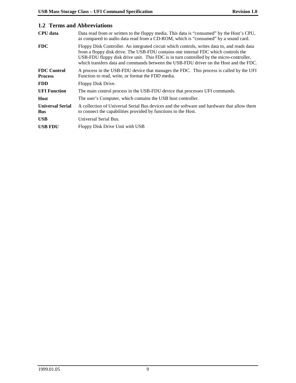# **1.2 Terms and Abbreviations**

| <b>CPU</b> data                       | Data read from or written to the floppy media. This data is "consumed" by the Host's CPU,<br>as compared to audio data read from a CD-ROM, which is "consumed" by a sound card.                                                                                                                                                                                        |
|---------------------------------------|------------------------------------------------------------------------------------------------------------------------------------------------------------------------------------------------------------------------------------------------------------------------------------------------------------------------------------------------------------------------|
| <b>FDC</b>                            | Floppy Disk Controller. An integrated circuit which controls, writes data to, and reads data<br>from a floppy disk drive. The USB-FDU contains one internal FDC which controls the<br>USB-FDU floppy disk drive unit. This FDC is in turn controlled by the micro-controller,<br>which transfers data and commands between the USB-FDU driver on the Host and the FDC. |
| <b>FDC</b> Control<br><b>Process</b>  | A process in the USB-FDU device that manages the FDC. This process is called by the UFI<br>Function to read, write, or format the FDD media.                                                                                                                                                                                                                           |
| <b>FDD</b>                            | Floppy Disk Drive.                                                                                                                                                                                                                                                                                                                                                     |
| <b>UFI</b> Function                   | The main control process in the USB-FDU device that processes UFI commands.                                                                                                                                                                                                                                                                                            |
| <b>Host</b>                           | The user's Computer, which contains the USB host controller.                                                                                                                                                                                                                                                                                                           |
| <b>Universal Serial</b><br><b>Bus</b> | A collection of Universal Serial Bus devices and the software and hardware that allow them<br>to connect the capabilities provided by functions to the Host.                                                                                                                                                                                                           |
| <b>USB</b>                            | Universal Serial Bus.                                                                                                                                                                                                                                                                                                                                                  |
| <b>USB FDU</b>                        | Floppy Disk Drive Unit with USB                                                                                                                                                                                                                                                                                                                                        |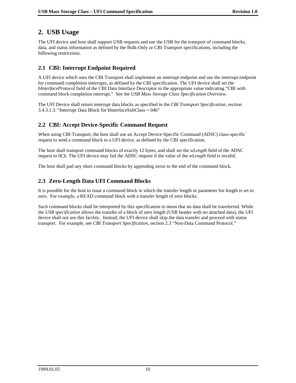# **2. USB Usage**

The UFI device and host shall support USB requests and use the USB for the transport of command blocks, data, and status information as defined by the Bulk-Only or CBI Transport specifications, including the following restrictions.

# **2.1 CBI: Interrupt Endpoint Required**

A UFI device which uses the CBI Transport shall implement an interrupt endpoint and use the interrupt endpoint for command completion interrupts, as defined by the CBI specification. The UFI device shall set the *bInterfaceProtocol* field of the CBI Data Interface Descriptor to the appropriate value indicating "CBI with command block completion interrupt." See the *USB Mass Storage Class Specification Overview.*

The UFI Device shall return interrupt data blocks as specified in the *CBI Transport Specification*, section 3.4.3.1.3. "Interrupt Data Block for bInterfaceSubClass = 04h"

# **2.2 CBI: Accept Device-Specific Command Request**

When using CBI Transport, the host shall use an Accept Device-Specific Command (ADSC) class-specific request to send a command block to a UFI device, as defined by the CBI specification.

The host shall transport command blocks of exactly 12 bytes, and shall set the *wLength* field of the ADSC request to 0Ch. The UFI device may fail the ADSC request if the value of the *wLength* field is invalid.

The host shall pad any short command blocks by appending zeros to the end of the command block.

# **2.3 Zero-Length Data UFI Command Blocks**

It is possible for the host to issue a command block in which the transfer length or parameter list length is set to zero. For example, a READ command block with a transfer length of zero blocks.

Such command blocks shall be interpreted by this specification to mean that no data shall be transferred. While the *USB specification* allows the transfer of a block of zero length (USB header with no attached data), the UFI device shall not use this facility. Instead, the UFI device shall skip the data transfer and proceed with status transport. For example, see *CBI Transport Specification*, section 2.3 "Non-Data Command Protocol."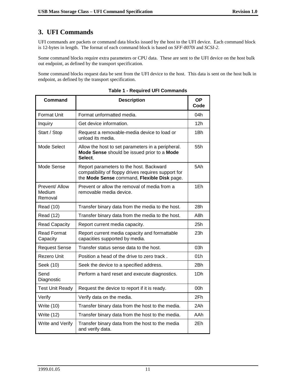# **3. UFI Commands**

UFI commands are packets or command data blocks issued by the host to the UFI device. Each command block is 12-bytes in length. The format of each command block is based on *SFF-8070i* and *SCSI-2.*

Some command blocks require extra parameters or CPU data. These are sent to the UFI device on the host bulk out endpoint, as defined by the transport specification.

Some command blocks request data be sent from the UFI device to the host. This data is sent on the host bulk in endpoint, as defined by the transport specification.

| <b>Command</b>                      | <b>Description</b>                                                                                                                            | <b>OP</b><br>Code |
|-------------------------------------|-----------------------------------------------------------------------------------------------------------------------------------------------|-------------------|
| Format Unit                         | Format unformatted media.                                                                                                                     | 04h               |
| Inquiry                             | Get device information.                                                                                                                       | 12 <sub>h</sub>   |
| Start / Stop                        | Request a removable-media device to load or<br>unload its media.                                                                              | 1Bh               |
| Mode Select                         | Allow the host to set parameters in a peripheral.<br>Mode Sense should be issued prior to a Mode<br>Select.                                   | 55h               |
| Mode Sense                          | Report parameters to the host. Backward<br>compatibility of floppy drives requires support for<br>the Mode Sense command, Flexible Disk page. | 5Ah               |
| Prevent/ Allow<br>Medium<br>Removal | Prevent or allow the removal of media from a<br>removable media device.                                                                       | 1Eh               |
| Read (10)                           | Transfer binary data from the media to the host.                                                                                              | 28h               |
| Read (12)                           | Transfer binary data from the media to the host.                                                                                              | A8h               |
| <b>Read Capacity</b>                | Report current media capacity.                                                                                                                | 25h               |
| <b>Read Format</b><br>Capacity      | Report current media capacity and formattable<br>capacities supported by media.                                                               | 23h               |
| <b>Request Sense</b>                | Transfer status sense data to the host.                                                                                                       | 03h               |
| Rezero Unit                         | Position a head of the drive to zero track.                                                                                                   | 01h               |
| Seek (10)                           | Seek the device to a specified address.                                                                                                       | 2Bh               |
| Send<br>Diagnostic                  | Perform a hard reset and execute diagnostics.                                                                                                 | 1Dh               |
| <b>Test Unit Ready</b>              | Request the device to report if it is ready.                                                                                                  | 00h               |
| Verify                              | Verify data on the media.                                                                                                                     | 2Fh               |
| Write (10)                          | Transfer binary data from the host to the media.                                                                                              | 2Ah               |
| Write (12)                          | Transfer binary data from the host to the media.                                                                                              | AAh               |
| Write and Verify                    | Transfer binary data from the host to the media<br>and verify data.                                                                           | 2Eh               |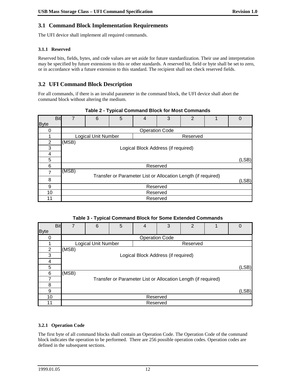# **3.1 Command Block Implementation Requirements**

The UFI device shall implement all required commands.

#### **3.1.1 Reserved**

Reserved bits, fields, bytes, and code values are set aside for future standardization. Their use and interpretation may be specified by future extensions to this or other standards. A reserved bit, field or byte shall be set to zero, or in accordance with a future extension to this standard. The recipient shall not check reserved fields.

# **3.2 UFI Command Block Description**

For all commands, if there is an invalid parameter in the command block, the UFI device shall abort the command block without altering the medium.

|             | <b>Bit</b> | $\overline{7}$ | 6                   | 5 | 4                                                             | 3                     | $\overline{2}$ | 1 | $\Omega$ |  |
|-------------|------------|----------------|---------------------|---|---------------------------------------------------------------|-----------------------|----------------|---|----------|--|
| <b>Byte</b> |            |                |                     |   |                                                               |                       |                |   |          |  |
|             |            |                |                     |   |                                                               | <b>Operation Code</b> |                |   |          |  |
|             |            |                | Logical Unit Number |   |                                                               |                       | Reserved       |   |          |  |
| 2           |            | (MSB)          |                     |   |                                                               |                       |                |   |          |  |
| 3           |            |                |                     |   | Logical Block Address (if required)                           |                       |                |   |          |  |
| 4           |            |                |                     |   |                                                               |                       |                |   |          |  |
| 5           |            |                | (LSB)               |   |                                                               |                       |                |   |          |  |
| 6           |            |                | Reserved            |   |                                                               |                       |                |   |          |  |
| 7           |            | (MSB)          |                     |   |                                                               |                       |                |   |          |  |
| 8           |            |                |                     |   | Transfer or Parameter List or Allocation Length (if required) |                       |                |   | (LSB)    |  |
| 9           |            |                | Reserved            |   |                                                               |                       |                |   |          |  |
| 10          |            |                |                     |   | Reserved                                                      |                       |                |   |          |  |
| 11          |            |                |                     |   | Reserved                                                      |                       |                |   |          |  |

#### **Table 2 - Typical Command Block for Most Commands**

#### **Table 3 - Typical Command Block for Some Extended Commands**

|             | <b>Bit</b> | $\overline{7}$ | 6                   | 5 | 4                                                             | 3                     | $\overline{2}$ | 1 | 0     |
|-------------|------------|----------------|---------------------|---|---------------------------------------------------------------|-----------------------|----------------|---|-------|
| <b>Byte</b> |            |                |                     |   |                                                               |                       |                |   |       |
| O           |            |                |                     |   |                                                               | <b>Operation Code</b> |                |   |       |
|             |            |                | Logical Unit Number |   |                                                               |                       | Reserved       |   |       |
| 2           |            | (MSB)          |                     |   |                                                               |                       |                |   |       |
| 3           |            |                |                     |   | Logical Block Address (if required)                           |                       |                |   |       |
| 4           |            |                |                     |   |                                                               |                       |                |   |       |
| 5           |            |                |                     |   |                                                               |                       |                |   | (LSB) |
| 6           |            | (MSB)          |                     |   |                                                               |                       |                |   |       |
|             |            |                |                     |   | Transfer or Parameter List or Allocation Length (if required) |                       |                |   |       |
| 8           |            |                |                     |   |                                                               |                       |                |   |       |
| 9           |            |                |                     |   |                                                               |                       |                |   | (LSB) |
| 10          |            |                |                     |   | Reserved                                                      |                       |                |   |       |
| 11          |            |                |                     |   | Reserved                                                      |                       |                |   |       |

#### **3.2.1 Operation Code**

The first byte of all command blocks shall contain an Operation Code. The Operation Code of the command block indicates the operation to be performed. There are 256 possible operation codes. Operation codes are defined in the subsequent sections.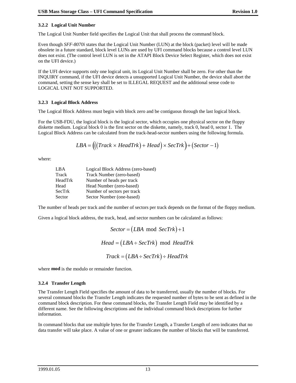#### **3.2.2 Logical Unit Number**

The Logical Unit Number field specifies the Logical Unit that shall process the command block.

Even though *SFF-8070i* states that the Logical Unit Number (LUN) at the block (packet) level will be made obsolete in a future standard, block level LUNs are used by UFI command blocks because a control level LUN does not exist. (The control level LUN is set in the ATAPI Block Device Select Register, which does not exist on the UFI device.)

If the UFI device supports only one logical unit, its Logical Unit Number shall be zero. For other than the INQUIRY command, if the UFI device detects a unsupported Logical Unit Number, the device shall abort the command, setting the sense key shall be set to ILLEGAL REQUEST and the additional sense code to LOGICAL UNIT NOT SUPPORTED.

#### **3.2.3 Logical Block Address**

The Logical Block Address must begin with block zero and be contiguous through the last logical block.

For the USB-FDU, the logical block is the logical sector, which occupies one physical sector on the floppy diskette medium. Logical block 0 is the first sector on the diskette, namely, track 0, head 0, sector 1. The Logical Block Address can be calculated from the track-head-sector numbers using the following formula.

$$
LBA = (((Track \times HeadTrk) + Head) \times SecTrk) + (Section - 1)
$$

where:

| LBA     | Logical Block Address (zero-based) |
|---------|------------------------------------|
| Track   | Track Number (zero-based)          |
| HeadTrk | Number of heads per track          |
| Head    | Head Number (zero-based)           |
| SecTrk  | Number of sectors per track        |
| Sector  | Sector Number (one-based)          |

The number of heads per track and the number of sectors per track depends on the format of the floppy medium.

Given a logical block address, the track, head, and sector numbers can be calculated as follows:

$$
Sector = (LBA \mod SecTrk) + 1
$$

$$
Head = (LBA \div SecTrk) \mod HeadTrk
$$

$$
Track = (LBA \div SecTrk) \div HeadTrk
$$

where **mod** is the modulo or remainder function.

#### **3.2.4 Transfer Length**

The Transfer Length Field specifies the amount of data to be transferred, usually the number of blocks. For several command blocks the Transfer Length indicates the requested number of bytes to be sent as defined in the command block description. For these command blocks, the Transfer Length Field may be identified by a different name. See the following descriptions and the individual command block descriptions for further information.

In command blocks that use multiple bytes for the Transfer Length, a Transfer Length of zero indicates that no data transfer will take place. A value of one or greater indicates the number of blocks that will be transferred.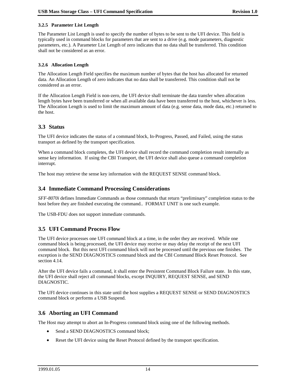#### **3.2.5 Parameter List Length**

The Parameter List Length is used to specify the number of bytes to be sent to the UFI device. This field is typically used in command blocks for parameters that are sent to a drive (e.g. mode parameters, diagnostic parameters, etc.). A Parameter List Length of zero indicates that no data shall be transferred. This condition shall not be considered as an error.

#### **3.2.6 Allocation Length**

The Allocation Length Field specifies the maximum number of bytes that the host has allocated for returned data. An Allocation Length of zero indicates that no data shall be transferred. This condition shall not be considered as an error.

If the Allocation Length Field is non-zero, the UFI device shall terminate the data transfer when allocation length bytes have been transferred or when all available data have been transferred to the host, whichever is less. The Allocation Length is used to limit the maximum amount of data (e.g. sense data, mode data, etc.) returned to the host.

### **3.3 Status**

The UFI device indicates the status of a command block, In-Progress, Passed, and Failed, using the status transport as defined by the transport specification.

When a command block completes, the UFI device shall record the command completion result internally as sense key information. If using the CBI Transport, the UFI device shall also queue a command completion interrupt.

The host may retrieve the sense key information with the REQUEST SENSE command block.

#### **3.4 Immediate Command Processing Considerations**

*SFF-8070i* defines Immediate Commands as those commands that return "preliminary" completion status to the host before they are finished executing the command.. FORMAT UNIT is one such example.

The USB-FDU does not support immediate commands.

## **3.5 UFI Command Process Flow**

The UFI device processes one UFI command block at a time, in the order they are received. While one command block is being processed, the UFI device may receive or may delay the receipt of the next UFI command block. But this next UFI command block will not be processed until the previous one finishes. The exception is the SEND DIAGNOSTICS command block and the CBI Command Block Reset Protocol. See section 4.14.

After the UFI device fails a command, it shall enter the Persistent Command Block Failure state. In this state, the UFI device shall reject all command blocks, except INQUIRY, REQUEST SENSE, and SEND DIAGNOSTIC.

The UFI device continues in this state until the host supplies a REQUEST SENSE or SEND DIAGNOSTICS command block or performs a USB Suspend.

## **3.6 Aborting an UFI Command**

The Host may attempt to abort an In-Progress command block using one of the following methods.

- $\overline{a}$ Send a SEND DIAGNOSTICS command block;
- $\bullet$ Reset the UFI device using the Reset Protocol defined by the transport specification.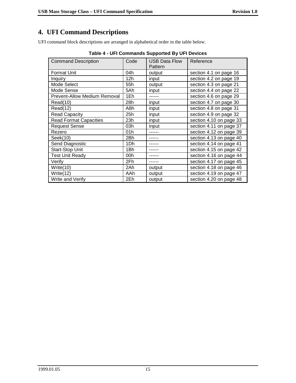# **4. UFI Command Descriptions**

UFI command block descriptions are arranged in alphabetical order in the table below.

| <b>Command Description</b>          | Code | <b>USB Data Flow</b><br>Pattern | Reference               |
|-------------------------------------|------|---------------------------------|-------------------------|
| <b>Format Unit</b>                  | 04h  | output                          | section 4.1 on page 16  |
| Inquiry                             | 12h  | input                           | section 4.2 on page 19  |
| Mode Select                         | 55h  | output                          | section 4.3 on page 21  |
| Mode Sense                          | 5Ah  | input                           | section 4.4 on page 22  |
| <b>Prevent-Allow Medium Removal</b> | 1Eh  |                                 | section 4.6 on page 29  |
| Read(10)                            | 28h  | input                           | section 4.7 on page 30  |
| Read(12)                            | A8h  | input                           | section 4.8 on page 31  |
| <b>Read Capacity</b>                | 25h  | input                           | section 4.9 on page 32  |
| <b>Read Format Capacities</b>       | 23h  | input                           | section 4.10 on page 33 |
| <b>Request Sense</b>                | 03h  | input                           | section 4.11 on page 37 |
| Rezero                              | 01h  |                                 | section 4.12 on page 39 |
| Seek(10)                            | 2Bh  |                                 | section 4.13 on page 40 |
| Send Diagnostic                     | 1Dh  |                                 | section 4.14 on page 41 |
| Start-Stop Unit                     | 1Bh  |                                 | section 4.15 on page 42 |
| <b>Test Unit Ready</b>              | 00h  |                                 | section 4.16 on page 44 |
| Verify                              | 2Fh  |                                 | section 4.17 on page 45 |
| Write $(10)$                        | 2Ah  | output                          | section 4.18 on page 46 |
| Write $(12)$                        | AAh  | output                          | section 4.19 on page 47 |
| Write and Verify                    | 2Eh  | output                          | section 4.20 on page 48 |

| Table 4 - UFI Commands Supported By UFI Devices |  |
|-------------------------------------------------|--|
|                                                 |  |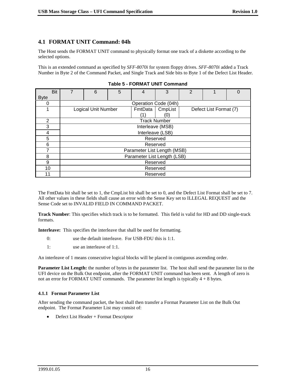#### **4.1 FORMAT UNIT Command: 04h**

The Host sends the FORMAT UNIT command to physically format one track of a diskette according to the selected options.

This is an extended command as specified by *SFF-8070i* for system floppy drives. *SFF-8070i* added a Track Number in Byte 2 of the Command Packet, and Single Track and Side bits to Byte 1 of the Defect List Header.

| <b>Bit</b>    | 7 | 6                           | 5 | 4                    | 3       | $\mathcal{P}$ |                        |  |
|---------------|---|-----------------------------|---|----------------------|---------|---------------|------------------------|--|
| <b>Byte</b>   |   |                             |   |                      |         |               |                        |  |
| O             |   |                             |   | Operation Code (04h) |         |               |                        |  |
|               |   | Logical Unit Number         |   | FmtData              | CmpList |               | Defect List Format (7) |  |
|               |   |                             |   | $^{\prime}$ 1        | O.      |               |                        |  |
| $\mathcal{P}$ |   |                             |   | <b>Track Number</b>  |         |               |                        |  |
| 3             |   |                             |   | Interleave (MSB)     |         |               |                        |  |
| 4             |   |                             |   | Interleave (LSB)     |         |               |                        |  |
| 5             |   | Reserved                    |   |                      |         |               |                        |  |
| 6             |   |                             |   | Reserved             |         |               |                        |  |
|               |   | Parameter List Length (MSB) |   |                      |         |               |                        |  |
| 8             |   | Parameter List Length (LSB) |   |                      |         |               |                        |  |
| 9             |   | Reserved                    |   |                      |         |               |                        |  |
| 10            |   | Reserved                    |   |                      |         |               |                        |  |
| 11            |   |                             |   | Reserved             |         |               |                        |  |

**Table 5 - FORMAT UNIT Command**

The FmtData bit shall be set to 1, the CmpList bit shall be set to 0, and the Defect List Format shall be set to 7. All other values in these fields shall cause an error with the Sense Key set to ILLEGAL REQUEST and the Sense Code set to INVALID FIELD IN COMMAND PACKET.

**Track Number**: This specifies which track is to be formatted. This field is valid for HD and DD single-track formats.

**Interleave:** This specifies the interleave that shall be used for formatting.

- 0: use the default interleave. For USB-FDU this is 1:1.
- 1: use an interleave of 1:1.

An interleave of 1 means consecutive logical blocks will be placed in contiguous ascending order.

**Parameter List Length:** the number of bytes in the parameter list. The host shall send the parameter list to the UFI device on the Bulk Out endpoint, after the FORMAT UNIT command has been sent. A length of zero is not an error for FORMAT UNIT commands. The parameter list length is typically  $4 + 8$  bytes.

#### **4.1.1 Format Parameter List**

After sending the command packet, the host shall then transfer a Format Parameter List on the Bulk Out endpoint. The Format Parameter List may consist of:

 $\bullet$ Defect List Header + Format Descriptor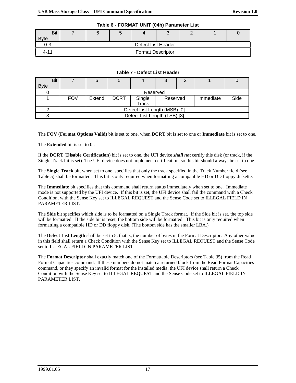| <b>Bit</b>  |                          |  |  | ∼ |  |  |  |
|-------------|--------------------------|--|--|---|--|--|--|
| <b>Byte</b> |                          |  |  |   |  |  |  |
| 0-3         | Defect List Header       |  |  |   |  |  |  |
| 4-11        | <b>Format Descriptor</b> |  |  |   |  |  |  |

# **Table 6 - FORMAT UNIT (04h) Parameter List**

#### **Table 7 - Defect List Header**

|             | <b>Bit</b> |            | 6                            |             |                              |          | ◠ |           |      |
|-------------|------------|------------|------------------------------|-------------|------------------------------|----------|---|-----------|------|
| <b>Byte</b> |            |            |                              |             |                              |          |   |           |      |
|             |            |            |                              |             | Reserved                     |          |   |           |      |
|             |            | <b>FOV</b> | Extend                       | <b>DCRT</b> | Single                       | Reserved |   | Immediate | Side |
|             |            |            |                              |             | <b>Track</b>                 |          |   |           |      |
|             |            |            | Defect List Length (MSB) [0] |             |                              |          |   |           |      |
|             |            |            |                              |             | Defect List Length (LSB) [8] |          |   |           |      |

The **FOV** (**Format Options Valid**) bit is set to one, when **DCRT** bit is set to one or **Immediate** bit is set to one.

The **Extended** bit is set to 0 .

If the **DCRT** (**Disable Certification**) bit is set to one, the UFI device *shall not* certify this disk (or track, if the Single Track bit is set). The UFI device does not implement certification, so this bit should always be set to one.

The **Single Track** bit, when set to one, specifies that only the track specified in the Track Number field (see Table 5) shall be formatted. This bit is only required when formatting a compatible HD or DD floppy diskette.

The **Immediate** bit specifies that this command shall return status immediately when set to one. Immediate mode is not supported by the UFI device. If this bit is set, the UFI device shall fail the command with a Check Condition, with the Sense Key set to ILLEGAL REQUEST and the Sense Code set to ILLEGAL FIELD IN PARAMETER LIST.

The **Side** bit specifies which side is to be formatted on a Single Track format. If the Side bit is set, the top side will be formatted. If the side bit is reset, the bottom side will be formatted. This bit is only required when formatting a compatible HD or DD floppy disk. (The bottom side has the smaller LBA.)

The **Defect List Length** shall be set to 8, that is, the number of bytes in the Format Descriptor. Any other value in this field shall return a Check Condition with the Sense Key set to ILLEGAL REQUEST and the Sense Code set to ILLEGAL FIELD IN PARAMETER LIST.

The **Format Descriptor** shall exactly match one of the Formattable Descriptors (see Table 35) from the Read Format Capacities command. If these numbers do not match a returned block from the Read Format Capacities command, or they specify an invalid format for the installed media, the UFI device shall return a Check Condition with the Sense Key set to ILLEGAL REQUEST and the Sense Code set to ILLEGAL FIELD IN PARAMETER LIST.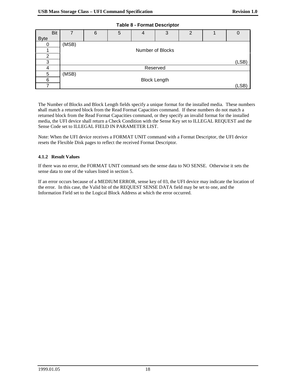| <b>Bit</b>  | 7     | 6        | 5 | $\overline{4}$   | 3                   | 2 |  |       |  |
|-------------|-------|----------|---|------------------|---------------------|---|--|-------|--|
| <b>Byte</b> |       |          |   |                  |                     |   |  |       |  |
| 0           | (MSB) |          |   |                  |                     |   |  |       |  |
|             |       |          |   | Number of Blocks |                     |   |  |       |  |
| 2           |       |          |   |                  |                     |   |  |       |  |
| ◠           |       |          |   |                  |                     |   |  | (LSB) |  |
| 4           |       | Reserved |   |                  |                     |   |  |       |  |
| 5           | (MSB) |          |   |                  |                     |   |  |       |  |
| 6           |       |          |   |                  | <b>Block Length</b> |   |  |       |  |
| ⇁           |       |          |   |                  |                     |   |  | (LSB) |  |

**Table 8 - Format Descriptor**

The Number of Blocks and Block Length fields specify a unique format for the installed media. These numbers *s*hall match a returned block from the Read Format Capacities command. If these numbers do not match a returned block from the Read Format Capacities command, or they specify an invalid format for the installed media, the UFI device shall return a Check Condition with the Sense Key set to ILLEGAL REQUEST and the Sense Code set to ILLEGAL FIELD IN PARAMETER LIST.

Note: When the UFI device receives a FORMAT UNIT command with a Format Descriptor, the UFI device resets the Flexible Disk pages to reflect the received Format Descriptor.

#### **4.1.2 Result Values**

If there was no error, the FORMAT UNIT command sets the sense data to NO SENSE. Otherwise it sets the sense data to one of the values listed in section 5.

If an error occurs because of a MEDIUM ERROR, sense key of 03, the UFI device may indicate the location of the error. In this case, the Valid bit of the REQUEST SENSE DATA field may be set to one, and the Information Field set to the Logical Block Address at which the error occurred.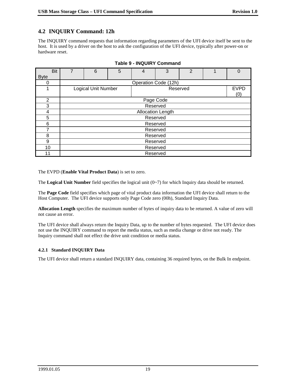# **4.2 INQUIRY Command: 12h**

The INQUIRY command requests that information regarding parameters of the UFI device itself be sent to the host. It is used by a driver on the host to ask the configuration of the UFI device, typically after power-on or hardware reset.

| Bit         | 7        | 6                          | 5 | 4                    | 3         | $\overline{2}$ |  | 0           |
|-------------|----------|----------------------------|---|----------------------|-----------|----------------|--|-------------|
| <b>Byte</b> |          |                            |   |                      |           |                |  |             |
| 0           |          |                            |   | Operation Code (12h) |           |                |  |             |
|             |          | <b>Logical Unit Number</b> |   |                      | Reserved  |                |  | <b>EVPD</b> |
|             |          |                            |   |                      |           |                |  | (0)         |
| 2           |          |                            |   |                      | Page Code |                |  |             |
| 3           |          |                            |   |                      | Reserved  |                |  |             |
| 4           |          | <b>Allocation Length</b>   |   |                      |           |                |  |             |
| 5           |          | Reserved                   |   |                      |           |                |  |             |
| 6           |          | Reserved                   |   |                      |           |                |  |             |
|             |          | Reserved                   |   |                      |           |                |  |             |
| 8           |          | Reserved                   |   |                      |           |                |  |             |
| 9           | Reserved |                            |   |                      |           |                |  |             |
| 10          |          | Reserved                   |   |                      |           |                |  |             |
| 11          |          | Reserved                   |   |                      |           |                |  |             |

#### **Table 9 - INQUIRY Command**

The EVPD (**Enable Vital Product Data**) is set to zero.

The **Logical Unit Number** field specifies the logical unit (0~7) for which Inquiry data should be returned.

The **Page Code** field specifies which page of vital product data information the UFI device shall return to the Host Computer. The UFI device supports only Page Code zero (00h), Standard Inquiry Data.

**Allocation Length** specifies the maximum number of bytes of inquiry data to be returned. A value of zero will not cause an error.

The UFI device shall always return the Inquiry Data, up to the number of bytes requested. The UFI device does not use the INQUIRY command to report the media status, such as media change or drive not ready. The Inquiry command shall not effect the drive unit condition or media status.

#### **4.2.1 Standard INQUIRY Data**

The UFI device shall return a standard INQUIRY data, containing 36 required bytes, on the Bulk In endpoint.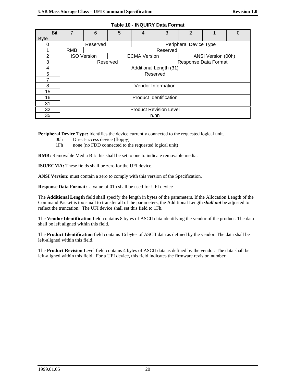| <b>Bit</b>     | 7                             | 6                             | 5        | 4                      | 3                  | $\overline{2}$         |                      | 0 |
|----------------|-------------------------------|-------------------------------|----------|------------------------|--------------------|------------------------|----------------------|---|
| <b>Byte</b>    |                               |                               |          |                        |                    |                        |                      |   |
| 0              |                               | Reserved                      |          |                        |                    | Peripheral Device Type |                      |   |
|                | <b>RMB</b>                    |                               |          |                        | Reserved           |                        |                      |   |
| $\overline{2}$ |                               | <b>ISO Version</b>            |          | <b>ECMA Version</b>    |                    |                        | ANSI Version (00h)   |   |
| 3              |                               |                               | Reserved |                        |                    |                        | Response Data Format |   |
| 4              |                               |                               |          | Additional Length (31) |                    |                        |                      |   |
| 5              |                               | Reserved                      |          |                        |                    |                        |                      |   |
| 7              |                               |                               |          |                        |                    |                        |                      |   |
| 8              |                               |                               |          |                        | Vendor Information |                        |                      |   |
| 15             |                               |                               |          |                        |                    |                        |                      |   |
| 16             | <b>Product Identification</b> |                               |          |                        |                    |                        |                      |   |
| 31             |                               |                               |          |                        |                    |                        |                      |   |
| 32             |                               | <b>Product Revision Level</b> |          |                        |                    |                        |                      |   |
| 35             |                               | n.nn                          |          |                        |                    |                        |                      |   |

| Table 10 - INQUIRY Data Format |
|--------------------------------|
|--------------------------------|

**Peripheral Device Type:** identifies the device currently connected to the requested logical unit.

- 00h Direct-access device (floppy)
- 1Fh none (no FDD connected to the requested logical unit)

**RMB:** Removable Media Bit: this shall be set to one to indicate removable media.

**ISO/ECMA:** These fields shall be zero for the UFI device.

**ANSI Version:** must contain a zero to comply with this version of the Specification.

**Response Data Format:** a value of 01h shall be used for UFI device

The **Additional Length** field shall specify the length in bytes of the parameters. If the Allocation Length of the Command Packet is too small to transfer all of the parameters, the Additional Length *shall not* be adjusted to reflect the truncation. The UFI device shall set this field to 1Fh.

The **Vendor Identification** field contains 8 bytes of ASCII data identifying the vendor of the product. The data shall be left aligned within this field.

The **Product Identification** field contains 16 bytes of ASCII data as defined by the vendor. The data shall be left-aligned within this field.

The **Product Revision** Level field contains 4 bytes of ASCII data as defined by the vendor. The data shall be left-aligned within this field. For a UFI device, this field indicates the firmware revision number.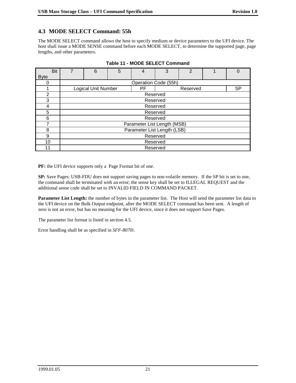# **4.3 MODE SELECT Command: 55h**

The MODE SELECT command allows the host to specify medium or device parameters to the UFI device. The host shall issue a MODE SENSE command before each MODE SELECT, to determine the supported page, page lengths, and other parameters.

| <b>Bit</b>  | 7 | 6                           | 5 | 4                    | 3 | $\overline{2}$ |  | 0         |
|-------------|---|-----------------------------|---|----------------------|---|----------------|--|-----------|
| <b>Byte</b> |   |                             |   |                      |   |                |  |           |
| 0           |   |                             |   | Operation Code (55h) |   |                |  |           |
|             |   | <b>Logical Unit Number</b>  |   | РF                   |   | Reserved       |  | <b>SP</b> |
| 2           |   |                             |   | Reserved             |   |                |  |           |
| 3           |   |                             |   | Reserved             |   |                |  |           |
| 4           |   | Reserved                    |   |                      |   |                |  |           |
| 5           |   | Reserved                    |   |                      |   |                |  |           |
| 6           |   | Reserved                    |   |                      |   |                |  |           |
| 7           |   | Parameter List Length (MSB) |   |                      |   |                |  |           |
| 8           |   | Parameter List Length (LSB) |   |                      |   |                |  |           |
| 9           |   | Reserved                    |   |                      |   |                |  |           |
| 10          |   | Reserved                    |   |                      |   |                |  |           |
| 11          |   |                             |   | Reserved             |   |                |  |           |

| Table 11 - MODE SELECT Command |  |
|--------------------------------|--|
|--------------------------------|--|

**PF:** the UFI device supports only a Page Format bit of one.

**SP:** Save Pages: USB-FDU does not support saving pages to non-volatile memory. If the SP bit is set to one, the command shall be terminated with an error; the sense key shall be set to ILLEGAL REQUEST and the additional sense code shall be set to INVALID FIELD IN COMMAND PACKET.

**Parameter List Length:** the number of bytes in the parameter list. The Host will send the parameter list data to the UFI device on the Bulk Output endpoint, after the MODE SELECT command has been sent. A length of zero is not an error, but has no meaning for the UFI device, since it does not support Save Pages.

The parameter list format is listed in section 4.5.

Error handling shall be as specified in *SFF-8070i*.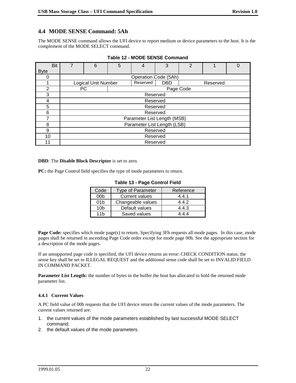# **4.4 MODE SENSE Command: 5Ah**

The MODE SENSE command allows the UFI device to report medium or device parameters to the host. It is the complement of the MODE SELECT command.

| <b>Bit</b>     | 6                          | 5 | 4                           | 3          | $\overline{2}$ |          | 0 |
|----------------|----------------------------|---|-----------------------------|------------|----------------|----------|---|
| <b>Byte</b>    |                            |   |                             |            |                |          |   |
| 0              |                            |   | Operation Code (5Ah)        |            |                |          |   |
|                | <b>Logical Unit Number</b> |   | Reserved                    | <b>DBD</b> |                | Reserved |   |
| $\overline{2}$ | PC.                        |   |                             |            | Page Code      |          |   |
| 3              |                            |   |                             | Reserved   |                |          |   |
| 4              |                            |   |                             | Reserved   |                |          |   |
| 5              |                            |   |                             | Reserved   |                |          |   |
| 6              |                            |   |                             | Reserved   |                |          |   |
|                |                            |   | Parameter List Length (MSB) |            |                |          |   |
| 8              |                            |   | Parameter List Length (LSB) |            |                |          |   |
| 9              |                            |   |                             | Reserved   |                |          |   |
| 10             |                            |   |                             | Reserved   |                |          |   |
| 11             |                            |   |                             | Reserved   |                |          |   |

**Table 12 - MODE SENSE Command**

#### **DBD**: The **Disable Block Descriptor** is set to zero.

**PC:** the Page Control field specifies the type of mode parameters to return.

| Code            | <b>Type of Parameter</b> | Reference |
|-----------------|--------------------------|-----------|
| 00 <sub>b</sub> | <b>Current values</b>    | 4.4.1     |
| 01 <sub>b</sub> | Changeable values        | 4.4.2     |
| 10 <sub>b</sub> | Default values           | 4.4.3     |
| 11h             | Saved values             | 444       |

#### **Table 13 - Page Control Field**

**Page Code:** specifies which mode page(s) to return. Specifying 3Fh requests all mode pages. In this case, mode pages shall be returned in ascending Page Code order except for mode page 00h. See the appropriate section for a description of the mode pages.

If an unsupported page code is specified, the UFI device returns an error: CHECK CONDITION status; the sense key shall be set to ILLEGAL REQUEST and the additional sense code shall be set to INVALID FIELD IN COMMAND PACKET.

**Parameter List Length:** the number of bytes in the buffer the host has allocated to hold the returned mode parameter list.

#### **4.4.1 Current Values**

A PC field value of 00b requests that the UFI device return the current values of the mode parameters. The current values returned are:

- 1. the current values of the mode parameters established by last successful MODE SELECT command;
- 2. the default values of the mode parameters.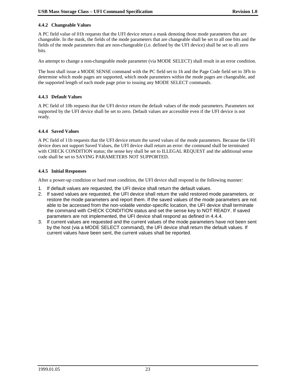#### **4.4.2 Changeable Values**

A PC field value of 01b requests that the UFI device return a mask denoting those mode parameters that are changeable. In the mask, the fields of the mode parameters that are changeable shall be set to all one bits and the fields of the mode parameters that are non-changeable (i.e. defined by the UFI device) shall be set to all zero bits.

An attempt to change a non-changeable mode parameter (via MODE SELECT) shall result in an error condition.

The host shall issue a MODE SENSE command with the PC field set to 1h and the Page Code field set to 3Fh to determine which mode pages are supported, which mode parameters within the mode pages are changeable, and the supported length of each mode page prior to issuing any MODE SELECT commands.

#### **4.4.3 Default Values**

A PC field of 10b requests that the UFI device return the default values of the mode parameters. Parameters not supported by the UFI device shall be set to zero. Default values are accessible even if the UFI device is not ready.

#### **4.4.4 Saved Values**

A PC field of 11b requests that the UFI device return the saved values of the mode parameters. Because the UFI device does not support Saved Values, the UFI device shall return an error: the command shall be terminated with CHECK CONDITION status; the sense key shall be set to ILLEGAL REQUEST and the additional sense code shall be set to SAVING PARAMETERS NOT SUPPORTED.

#### **4.4.5 Initial Responses**

After a power-up condition or hard reset condition, the UFI device shall respond in the following manner:

- 1. If default values are requested, the UFI device shall return the default values.
- 2. If saved values are requested, the UFI device shall return the valid restored mode parameters, or restore the mode parameters and report them. If the saved values of the mode parameters are not able to be accessed from the non-volatile vendor-specific location, the UFI device shall terminate the command with CHECK CONDITION status and set the sense key to NOT READY. If saved parameters are not implemented, the UFI device shall respond as defined in 4.4.4.
- 3. If current values are requested and the current values of the mode parameters have not been sent by the host (via a MODE SELECT command), the UFI device shall return the default values. If current values have been sent, the current values shall be reported.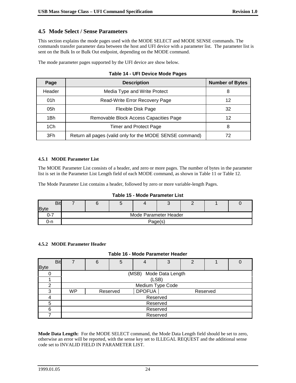## **4.5 Mode Select / Sense Parameters**

This section explains the mode pages used with the MODE SELECT and MODE SENSE commands. The commands transfer parameter data between the host and UFI device with a parameter list. The parameter list is sent on the Bulk In or Bulk Out endpoint, depending on the MODE command.

The mode parameter pages supported by the UFI device are show below.

| Page   | <b>Description</b>                                       | <b>Number of Bytes</b> |
|--------|----------------------------------------------------------|------------------------|
| Header | Media Type and Write Protect                             | 8                      |
| 01h    | Read-Write Error Recovery Page                           | 12                     |
| 05h    | Flexible Disk Page                                       | 32                     |
| 1Bh    | Removable Block Access Capacities Page                   | 12                     |
| 1Ch    | Timer and Protect Page                                   | 8                      |
| 3Fh    | Return all pages (valid only for the MODE SENSE command) |                        |

#### **Table 14 - UFI Device Mode Pages**

#### **4.5.1 MODE Parameter List**

The MODE Parameter List consists of a header, and zero or more pages. The number of bytes in the parameter list is set in the Parameter List Length field of each MODE command, as shown in Table 11 or Table 12.

The Mode Parameter List contains a header, followed by zero or more variable-length Pages.

#### **Table 15 - Mode Parameter List**

| <b>Bit</b>  |  |                       |  |  |
|-------------|--|-----------------------|--|--|
| <b>Byte</b> |  |                       |  |  |
| , .         |  | Mode Parameter Header |  |  |
| ว-ท         |  | Page(s)               |  |  |

#### **4.5.2 MODE Parameter Header**

#### **Table 16 - Mode Parameter Header**

|             | <b>Bit</b> | 6 | 5        |                        | 3 | 2 |          |  |
|-------------|------------|---|----------|------------------------|---|---|----------|--|
| <b>Byte</b> |            |   |          |                        |   |   |          |  |
|             |            |   |          | (MSB) Mode Data Length |   |   |          |  |
|             |            |   |          | (LSB)                  |   |   |          |  |
| っ           |            |   |          | Medium Type Code       |   |   |          |  |
| 3           | <b>WP</b>  |   | Reserved | <b>DPOFUA</b>          |   |   | Reserved |  |
|             |            |   |          | Reserved               |   |   |          |  |
| 5           |            |   |          | Reserved               |   |   |          |  |
| 6           |            |   |          | Reserved               |   |   |          |  |
|             |            |   |          | Reserved               |   |   |          |  |

**Mode Data Length:** For the MODE SELECT command, the Mode Data Length field should be set to zero, otherwise an error will be reported, with the sense key set to ILLEGAL REQUEST and the additional sense code set to INVALID FIELD IN PARAMETER LIST.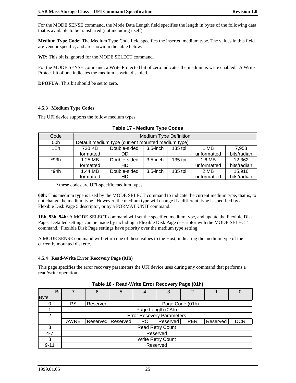For the MODE SENSE command, the Mode Data Length field specifies the length in bytes of the following data that is available to be transferred (not including itself).

**Medium Type Code:** The Medium Type Code field specifies the inserted medium type. The values in this field are vendor specific, and are shown in the table below.

**WP:** This bit is ignored for the MODE SELECT command.

For the MODE SENSE command, a Write Protected bit of zero indicates the medium is write enabled. A Write Protect bit of one indicates the medium is write disabled.

**DPOFUA:** This bit should be set to zero.

#### **4.5.3 Medium Type Codes**

The UFI device supports the follow medium types.

| Code |           |                                                   | <b>Medium Type Definition</b> |         |             |             |
|------|-----------|---------------------------------------------------|-------------------------------|---------|-------------|-------------|
| 00h  |           | Default medium type (current mounted medium type) |                               |         |             |             |
| 1Eh. | 720 KB    | Double-sided:                                     | $3.5$ -inch                   | 135 tpi | 1 MB        | 7,958       |
|      | formatted | DD                                                |                               |         | unformatted | bits/radian |
| *93h | 1.25 MB   | Double-sided:                                     | $3.5$ -inch                   | 135 tpi | 1.6 MB      | 12,362      |
|      | formatted | HD                                                |                               |         | unformatted | bits/radian |
| *94h | 1.44 MB   | Double-sided:                                     | $3.5$ -inch                   | 135 tpi | 2 MB        | 15,916      |
|      | formatted | HD                                                |                               |         | unformatted | bits/radian |

|  | <b>Table 17 - Medium Type Codes</b> |  |
|--|-------------------------------------|--|
|  |                                     |  |

\* these codes are UFI-specific medium types

**00h:** This medium type is used by the MODE SELECT command to indicate the current medium type, that is, to not change the medium type. However, the medium type will change if a different type is specified by a Flexible Disk Page 5 descriptor, or by a FORMAT UNIT command.

**1Eh, 93h, 94h:** A MODE SELECT command will set the specified medium type, and update the Flexible Disk Page. Detailed settings can be made by including a Flexible Disk Page descriptor with the MODE SELECT command. Flexible Disk Page settings have priority over the medium type setting.

A MODE SENSE command will return one of these values to the Host, indicating the medium type of the currently mounted diskette.

#### **4.5.4 Read-Write Error Recovery Page (01h)**

This page specifies the error recovery parameters the UFI device uses during any command that performs a read/write operation.

|             | <b>Bit</b> |      | 6        | 5                   |                   | 3                                |            |          |            |
|-------------|------------|------|----------|---------------------|-------------------|----------------------------------|------------|----------|------------|
| <b>Byte</b> |            |      |          |                     |                   |                                  |            |          |            |
|             |            | PS   | Reserved |                     |                   | Page Code (01h)                  |            |          |            |
|             |            |      |          |                     | Page Length (0Ah) |                                  |            |          |            |
| 2           |            |      |          |                     |                   | <b>Error Recovery Parameters</b> |            |          |            |
|             |            | AWRE |          | Reserved   Reserved | RC.               | Reserved                         | <b>PER</b> | Reserved | <b>DCR</b> |
| 3           |            |      |          |                     |                   | <b>Read Retry Count</b>          |            |          |            |
| $4 - 7$     |            |      |          |                     |                   | Reserved                         |            |          |            |
| 8           |            |      |          |                     |                   | <b>Write Retry Count</b>         |            |          |            |
| $9 - 11$    |            |      |          |                     |                   | Reserved                         |            |          |            |

**Table 18 - Read-Write Error Recovery Page (01h)**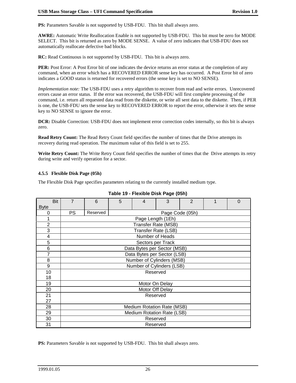**PS:** Parameters Savable is not supported by USB-FDU. This bit shall always zero.

**AWRE:** Automatic Write Reallocation Enable is not supported by USB-FDU. This bit must be zero for MODE SELECT. This bit is returned as zero by MODE SENSE. A value of zero indicates that USB-FDU does not automatically reallocate defective bad blocks.

**RC:** Read Continuous is not supported by USB-FDU. This bit is always zero.

**PER:** Post Error: A Post Error bit of one indicates the device returns an error status at the completion of any command, when an error which has a RECOVERED ERROR sense key has occurred. A Post Error bit of zero indicates a GOOD status is returned for recovered errors (the sense key is set to NO SENSE).

*Implementation note:* The USB-FDU uses a retry algorithm to recover from read and write errors. Unrecovered errors cause an error status. If the error was recovered, the USB-FDU will first complete processing of the command, i.e. return all requested data read from the diskette, or write all sent data to the diskette. Then, if PER is one, the USB-FDU sets the sense key to RECOVERED ERROR to report the error, otherwise it sets the sense key to NO SENSE to ignore the error.

**DCR:** Disable Correction: USB-FDU does not implement error correction codes internally, so this bit is always zero.

**Read Retry Count:** The Read Retry Count field specifies the number of times that the Drive attempts its recovery during read operation. The maximum value of this field is set to 255.

**Write Retry Count:** The Write Retry Count field specifies the number of times that the Drive attempts its retry during write and verify operation for a sector.

#### **4.5.5 Flexible Disk Page (05h)**

The Flexible Disk Page specifies parameters relating to the currently installed medium type.

| Bit<br><b>Byte</b> | $\overline{7}$ | 6        | 5 | $\overline{\mathcal{A}}$    | 3               | $\overline{2}$ | 0 |
|--------------------|----------------|----------|---|-----------------------------|-----------------|----------------|---|
| 0                  | <b>PS</b>      | Reserved |   |                             | Page Code (05h) |                |   |
|                    |                |          |   | Page Length (1Eh)           |                 |                |   |
| $\overline{2}$     |                |          |   | <b>Transfer Rate (MSB)</b>  |                 |                |   |
| 3                  |                |          |   | <b>Transfer Rate (LSB)</b>  |                 |                |   |
| 4                  |                |          |   | Number of Heads             |                 |                |   |
| 5                  |                |          |   | Sectors per Track           |                 |                |   |
| 6                  |                |          |   | Data Bytes per Sector (MSB) |                 |                |   |
| $\overline{7}$     |                |          |   | Data Bytes per Sector (LSB) |                 |                |   |
| 8                  |                |          |   | Number of Cylinders (MSB)   |                 |                |   |
| 9                  |                |          |   | Number of Cylinders (LSB)   |                 |                |   |
| 10                 |                |          |   | Reserved                    |                 |                |   |
| 18                 |                |          |   |                             |                 |                |   |
| 19                 |                |          |   | Motor On Delay              |                 |                |   |
| 20                 |                |          |   | Motor Off Delay             |                 |                |   |
| 21                 |                |          |   | Reserved                    |                 |                |   |
| 27                 |                |          |   |                             |                 |                |   |
| 28                 |                |          |   | Medium Rotation Rate (MSB)  |                 |                |   |
| 29                 |                |          |   | Medium Rotation Rate (LSB)  |                 |                |   |
| 30                 |                |          |   | Reserved                    |                 |                |   |
| 31                 |                |          |   | Reserved                    |                 |                |   |

| Table 19 - Flexible Disk Page (05h) |  |  |  |  |
|-------------------------------------|--|--|--|--|
|-------------------------------------|--|--|--|--|

PS: Parameters Savable is not supported by USB-FDU. This bit shall always zero.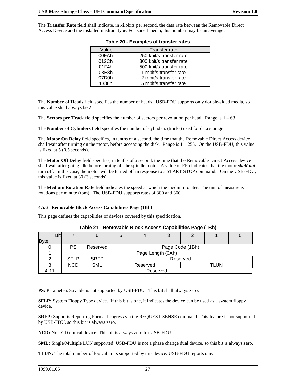The **Transfer Rate** field shall indicate, in kilobits per second, the data rate between the Removable Direct Access Device and the installed medium type. For zoned media, this number may be an average.

| Value<br>Transfer rate                       |  |
|----------------------------------------------|--|
| 00FAh<br>250 kbit/s transfer rate            |  |
| 012Ch<br>300 kbit/s transfer rate            |  |
| 01F4h<br>500 kbit/s transfer rate            |  |
| 03E8h<br>1 mbit/s transfer rate              |  |
| 07D <sub>0</sub> h<br>2 mbit/s transfer rate |  |
| 1388h<br>5 mbit/s transfer rate              |  |

| Table 20 - Examples of transfer rates |
|---------------------------------------|
|---------------------------------------|

The **Number of Heads** field specifies the number of heads. USB-FDU supports only double-sided media, so this value shall always be 2.

The **Sectors per Track** field specifies the number of sectors per revolution per head. Range is  $1 - 63$ .

The **Number of Cylinders** field specifies the number of cylinders (tracks) used for data storage.

The **Motor On Delay** field specifies, in tenths of a second, the time that the Removable Direct Access device shall wait after turning on the motor, before accessing the disk. Range is  $1 - 255$ . On the USB-FDU, this value is fixed at 5 (0.5 seconds).

The **Motor Off Delay** field specifies, in tenths of a second, the time that the Removable Direct Access device shall wait after going idle before turning off the spindle motor. A value of FFh indicates that the motor *shall not* turn off. In this case, the motor will be turned off in response to a START STOP command. On the USB-FDU, this value is fixed at 30 (3 seconds).

The **Medium Rotation Rate** field indicates the speed at which the medium rotates. The unit of measure is rotations per minute (rpm). The USB-FDU supports rates of 300 and 360.

#### **4.5.6 Removable Block Access Capabilities Page (1Bh)**

This page defines the capabilities of devices covered by this specification.

|             | <b>Bit</b> |             | 6                 | G                |                 | ◠<br>ບ | 2 |  |  |  |
|-------------|------------|-------------|-------------------|------------------|-----------------|--------|---|--|--|--|
| <b>Byte</b> |            |             |                   |                  |                 |        |   |  |  |  |
|             |            | <b>PS</b>   | Reserved          |                  | Page Code (1Bh) |        |   |  |  |  |
|             |            |             | Page Length (0Ah) |                  |                 |        |   |  |  |  |
|             |            | <b>SFLP</b> | <b>SRFP</b>       | Reserved         |                 |        |   |  |  |  |
|             |            | <b>NCD</b>  | <b>SML</b>        | TLUN<br>Reserved |                 |        |   |  |  |  |
| $4 - 11$    |            | Reserved    |                   |                  |                 |        |   |  |  |  |

#### **Table 21 - Removable Block Access Capabilities Page (1Bh)**

PS: Parameters Savable is not supported by USB-FDU. This bit shall always zero.

**SFLP:** System Floppy Type device. If this bit is one, it indicates the device can be used as a system floppy device.

**SRFP:** Supports Reporting Format Progress via the REQUEST SENSE command. This feature is not supported by USB-FDU, so this bit is always zero.

**NCD:** Non-CD optical device: This bit is always zero for USB-FDU.

**SML:** Single/Multiple LUN supported: USB-FDU is not a phase change dual device, so this bit is always zero.

**TLUN:** The total number of logical units supported by this device. USB-FDU reports one.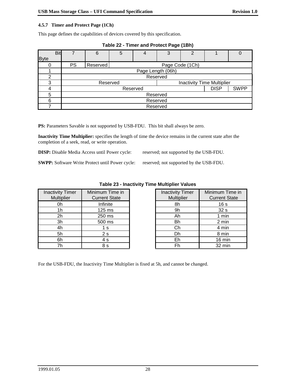#### **4.5.7 Timer and Protect Page (1Ch)**

This page defines the capabilities of devices covered by this specification.

| <b>Byte</b> | Bit | 7         | 6                                             | 5               |  | 3 | 2 |  |  |  |
|-------------|-----|-----------|-----------------------------------------------|-----------------|--|---|---|--|--|--|
|             |     | <b>PS</b> | Reserved                                      | Page Code (1Ch) |  |   |   |  |  |  |
|             |     |           | Page Length (06h)                             |                 |  |   |   |  |  |  |
| っ           |     |           | Reserved                                      |                 |  |   |   |  |  |  |
| 3           |     |           | <b>Inactivity Time Multiplier</b><br>Reserved |                 |  |   |   |  |  |  |
|             |     |           | <b>SWPP</b><br><b>DISP</b><br>Reserved        |                 |  |   |   |  |  |  |
| 5           |     |           | Reserved                                      |                 |  |   |   |  |  |  |
| 6           |     |           | Reserved                                      |                 |  |   |   |  |  |  |
|             |     |           | Reserved                                      |                 |  |   |   |  |  |  |

|  |  | Table 22 - Timer and Protect Page (1Bh) |  |
|--|--|-----------------------------------------|--|
|  |  |                                         |  |

PS: Parameters Savable is not supported by USB-FDU. This bit shall always be zero.

**Inactivity Time Multiplier:** specifies the length of time the device remains in the current state after the completion of a seek, read, or write operation.

**DISP:** Disable Media Access until Power cycle: reserved; not supported by the USB-FDU.

**SWPP:** Software Write Protect until Power cycle: reserved; not supported by the USB-FDU.

| <b>Inactivity Timer</b><br><b>Multiplier</b> | Minimum Time in<br><b>Current State</b> | <b>Inactivity Timer</b><br><b>Multiplier</b> | Minimum T<br>Current: |
|----------------------------------------------|-----------------------------------------|----------------------------------------------|-----------------------|
| 0h                                           | Infinite                                | 8h                                           | 16 <sub>s</sub>       |
| 1h                                           | $125 \text{ ms}$                        | 9h                                           | 32s                   |
| 2h                                           | 250 ms                                  | Ah                                           | 1 mir                 |
| 3h                                           | 500 ms                                  | <b>Bh</b>                                    | 2 mir                 |
| 4h                                           | 1 s                                     | Сh                                           | 4 mir                 |
| 5h                                           | 2s                                      | Dh                                           | 8 mir                 |
| 6h                                           | 4 s                                     | Eh                                           | 16 mi                 |
| 7h                                           | 8 s                                     | Fh                                           | 32 mi                 |

#### **Table 23 - Inactivity Time Multiplier Values**

| ity Timer<br><b>Itiplier</b> | Minimum Time in<br><b>Current State</b> | <b>Inactivity Timer</b><br><b>Multiplier</b> | Minimum Time in<br><b>Current State</b> |
|------------------------------|-----------------------------------------|----------------------------------------------|-----------------------------------------|
| 0h                           | Infinite                                | 8h                                           | 16 <sub>s</sub>                         |
| 1 <sub>h</sub>               | $125 \text{ ms}$                        | 9h                                           | 32 <sub>s</sub>                         |
| $\overline{2h}$              | 250 ms                                  | Ah                                           | 1 min                                   |
| $\overline{\mathsf{3h}}$     | 500 ms                                  | <b>Bh</b>                                    | 2 min                                   |
| 4h                           | 1 s                                     | Сh                                           | 4 min                                   |
| 5h                           | 2s                                      | Dh                                           | 8 min                                   |
| $\overline{6h}$              | 4 s                                     | Eh                                           | 16 min                                  |
| 7h                           | 8 s                                     | Fh                                           | 32 min                                  |

For the USB-FDU, the Inactivity Time Multiplier is fixed at 5h, and cannot be changed.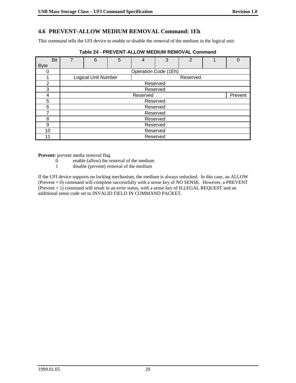# **4.6 PREVENT-ALLOW MEDIUM REMOVAL Command: 1Eh**

This command tells the UFI device to enable or disable the removal of the medium in the logical unit.

| <b>Bit</b>     | 7 | 6                          | 5 | $\overline{4}$       | 3        | $\overline{2}$ |  | 0 |
|----------------|---|----------------------------|---|----------------------|----------|----------------|--|---|
| <b>Byte</b>    |   |                            |   |                      |          |                |  |   |
|                |   |                            |   | Operation Code (1Eh) |          |                |  |   |
|                |   | <b>Logical Unit Number</b> |   |                      |          | Reserved       |  |   |
| $\overline{2}$ |   |                            |   |                      | Reserved |                |  |   |
| 3              |   |                            |   |                      | Reserved |                |  |   |
| 4              |   | Prevent<br>Reserved        |   |                      |          |                |  |   |
| 5              |   | Reserved                   |   |                      |          |                |  |   |
| 6              |   | Reserved                   |   |                      |          |                |  |   |
| 7              |   | Reserved                   |   |                      |          |                |  |   |
| 8              |   | Reserved                   |   |                      |          |                |  |   |
| 9              |   | Reserved                   |   |                      |          |                |  |   |
| 10             |   | Reserved                   |   |                      |          |                |  |   |
| 11             |   | Reserved                   |   |                      |          |                |  |   |

#### **Table 24 - PREVENT-ALLOW MEDIUM REMOVAL Command**

**Prevent:** prevent media removal flag

0 enable (allow) the removal of the medium

1 disable (prevent) removal of the medium

If the UFI device supports no locking mechanism, the medium is always unlocked. In this case, an ALLOW (Prevent = 0) command will complete successfully with a sense key of NO SENSE. However, a PREVENT (Prevent = 1) command will result in an error status, with a sense key of ILLEGAL REQUEST and an additional sense code set to INVALID FIELD IN COMMAND PACKET.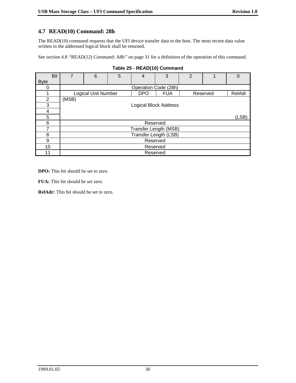# **4.7 READ(10) Command: 28h**

The READ(10) command requests that the UFI device transfer data to the host. The most recent data value written in the addressed logical block shall be returned.

See section 4.8 *"*READ(12) Command: A8h*"* on page 31 for a definition of the operation of this command.

| <b>Bit</b>  | 7     | 6                                                                  | 5 | 4                     | 3 | 2 |  | 0      |  |
|-------------|-------|--------------------------------------------------------------------|---|-----------------------|---|---|--|--------|--|
| <b>Byte</b> |       |                                                                    |   |                       |   |   |  |        |  |
| 0           |       | Operation Code (28h)                                               |   |                       |   |   |  |        |  |
|             |       | <b>Logical Unit Number</b><br><b>DPO</b><br><b>FUA</b><br>Reserved |   |                       |   |   |  | RelAdr |  |
| 2           | (MSB) |                                                                    |   |                       |   |   |  |        |  |
| 3           |       | <b>Logical Block Address</b>                                       |   |                       |   |   |  |        |  |
| 4           |       |                                                                    |   |                       |   |   |  |        |  |
| 5           |       | (LSB)                                                              |   |                       |   |   |  |        |  |
| 6           |       | Reserved                                                           |   |                       |   |   |  |        |  |
| 7           |       | Transfer Length (MSB)                                              |   |                       |   |   |  |        |  |
| 8           |       |                                                                    |   | Transfer Length (LSB) |   |   |  |        |  |
| 9           |       | Reserved                                                           |   |                       |   |   |  |        |  |
| 10          |       | Reserved                                                           |   |                       |   |   |  |        |  |
| 11          |       | Reserved                                                           |   |                       |   |   |  |        |  |

#### **Table 25 - READ(10) Command**

**DPO:** This bit should be set to zero.

**FUA:** This bit should be set zero.

**RelAdr:** This bit should be set to zero.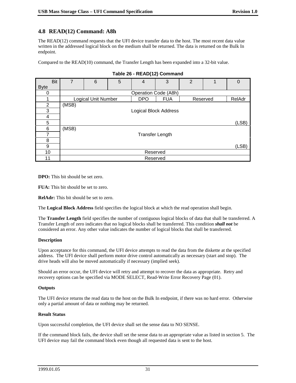## **4.8 READ(12) Command: A8h**

The READ(12) command requests that the UFI device transfer data to the host. The most recent data value written in the addressed logical block on the medium shall be returned. The data is returned on the Bulk In endpoint.

Compared to the READ(10) command, the Transfer Length has been expanded into a 32-bit value.

| Bit         | 7     | 6                                                                     | 5 | $\overline{4}$       | 3        | $\overline{2}$ |  | 0 |
|-------------|-------|-----------------------------------------------------------------------|---|----------------------|----------|----------------|--|---|
| <b>Byte</b> |       |                                                                       |   |                      |          |                |  |   |
| 0           |       |                                                                       |   | Operation Code (A8h) |          |                |  |   |
|             |       | Logical Unit Number<br><b>DPO</b><br><b>FUA</b><br>RelAdr<br>Reserved |   |                      |          |                |  |   |
| 2           | (MSB) |                                                                       |   |                      |          |                |  |   |
| 3           |       | <b>Logical Block Address</b>                                          |   |                      |          |                |  |   |
| 4           |       |                                                                       |   |                      |          |                |  |   |
| 5           |       | (LSB)                                                                 |   |                      |          |                |  |   |
| 6           | (MSB) |                                                                       |   |                      |          |                |  |   |
| 7           |       | <b>Transfer Length</b>                                                |   |                      |          |                |  |   |
| 8           |       |                                                                       |   |                      |          |                |  |   |
| 9           |       | (LSB)                                                                 |   |                      |          |                |  |   |
| 10          |       | Reserved                                                              |   |                      |          |                |  |   |
| 11          |       |                                                                       |   |                      | Reserved |                |  |   |

#### **Table 26 - READ(12) Command**

**DPO:** This bit should be set zero.

**FUA:** This bit should be set to zero.

**RelAdr:** This bit should be set to zero.

The **Logical Block Address** field specifies the logical block at which the read operation shall begin.

The **Transfer Length** field specifies the number of contiguous logical blocks of data that shall be transferred. A Transfer Length of zero indicates that no logical blocks shall be transferred. This condition *shall not* be considered an error. Any other value indicates the number of logical blocks that shall be transferred.

#### **Description**

Upon acceptance for this command, the UFI device attempts to read the data from the diskette at the specified address. The UFI device shall perform motor drive control automatically as necessary (start and stop). The drive heads will also be moved automatically if necessary (implied seek).

Should an error occur, the UFI device will retry and attempt to recover the data as appropriate. Retry and recovery options can be specified via MODE SELECT, Read-Write Error Recovery Page (01).

#### **Outputs**

The UFI device returns the read data to the host on the Bulk In endpoint, if there was no hard error. Otherwise only a partial amount of data or nothing may be returned.

#### **Result Status**

Upon successful completion, the UFI device shall set the sense data to NO SENSE.

If the command block fails, the device shall set the sense data to an appropriate value as listed in section 5. The UFI device may fail the command block even though all requested data is sent to the host.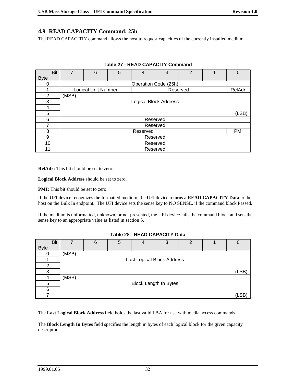## **4.9 READ CAPACITY Command: 25h**

The READ CAPACITIY command allows the host to request capacities of the currently installed medium.

| Bit         | $\overline{7}$ | 6                                                | 5 | 4        | 3 | 2 |  | $\Omega$ |  |
|-------------|----------------|--------------------------------------------------|---|----------|---|---|--|----------|--|
| <b>Byte</b> |                |                                                  |   |          |   |   |  |          |  |
|             |                | Operation Code (25h)                             |   |          |   |   |  |          |  |
|             |                | <b>Logical Unit Number</b><br>RelAdr<br>Reserved |   |          |   |   |  |          |  |
| 2           | (MSB)          |                                                  |   |          |   |   |  |          |  |
| 3           |                | <b>Logical Block Address</b>                     |   |          |   |   |  |          |  |
| 4           |                |                                                  |   |          |   |   |  |          |  |
| 5           |                | (LSB)                                            |   |          |   |   |  |          |  |
| 6           |                | Reserved                                         |   |          |   |   |  |          |  |
| 7           |                | Reserved                                         |   |          |   |   |  |          |  |
| 8           |                |                                                  |   | Reserved |   |   |  | PMI      |  |
| 9           |                | Reserved                                         |   |          |   |   |  |          |  |
| 10          |                | Reserved                                         |   |          |   |   |  |          |  |
| 11          |                | Reserved                                         |   |          |   |   |  |          |  |

**Table 27 - READ CAPACITY Command**

**RelAdr:** This bit should be set to zero.

**Logical Block Address** should be set to zero.

**PMI:** This bit should be set to zero.

If the UFI device recognizes the formatted medium, the UFI device returns a **READ CAPACITY Data** to the host on the Bulk In endpoint. The UFI device sets the sense key to NO SENSE. if the command block Passed.

If the medium is unformatted, unknown, or not presented, the UFI device fails the command block and sets the sense key to an appropriate value as listed in section 5.

#### **Table 28 - READ CAPACITY Data**

| <b>Bit</b>  |       | 6 | 5 | 4                            | 3 | $\overline{2}$ |       |
|-------------|-------|---|---|------------------------------|---|----------------|-------|
| <b>Byte</b> |       |   |   |                              |   |                |       |
|             | (MSB) |   |   |                              |   |                |       |
|             |       |   |   | Last Logical Block Address   |   |                |       |
| 2           |       |   |   |                              |   |                |       |
| 3           |       |   |   |                              |   |                | (LSB) |
|             | (MSB) |   |   |                              |   |                |       |
| 5           |       |   |   | <b>Block Length In Bytes</b> |   |                |       |
| 6           |       |   |   |                              |   |                |       |
|             |       |   |   |                              |   |                | (LSB) |

The **Last Logical Block Address** field holds the last valid LBA for use with media access commands.

The **Block Length In Bytes** field specifies the length in bytes of each logical block for the given capacity descriptor.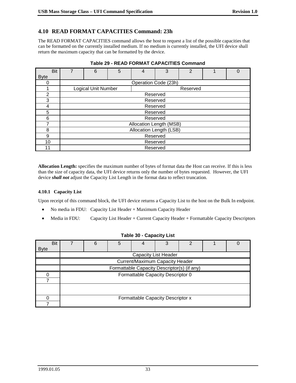# **4.10 READ FORMAT CAPACITIES Command: 23h**

The READ FORMAT CAPACITIES command allows the host to request a list of the possible capacities that can be formatted on the currently installed medium. If no medium is currently installed, the UFI device shall return the maximum capacity that can be formatted by the device.

| <b>Bit</b>  | 7        | 6                          | 5 | 4                    | 3        | $\overline{2}$ |  | 0 |  |
|-------------|----------|----------------------------|---|----------------------|----------|----------------|--|---|--|
| <b>Byte</b> |          |                            |   |                      |          |                |  |   |  |
| 0           |          |                            |   | Operation Code (23h) |          |                |  |   |  |
|             |          | <b>Logical Unit Number</b> |   |                      |          | Reserved       |  |   |  |
| 2           |          |                            |   |                      | Reserved |                |  |   |  |
| 3           |          | Reserved                   |   |                      |          |                |  |   |  |
| 4           |          | Reserved                   |   |                      |          |                |  |   |  |
| 5           | Reserved |                            |   |                      |          |                |  |   |  |
| 6           |          | Reserved                   |   |                      |          |                |  |   |  |
| 7           |          | Allocation Length (MSB)    |   |                      |          |                |  |   |  |
| 8           |          | Allocation Length (LSB)    |   |                      |          |                |  |   |  |
| 9           | Reserved |                            |   |                      |          |                |  |   |  |
| 10          |          | Reserved                   |   |                      |          |                |  |   |  |
| 11          |          | Reserved                   |   |                      |          |                |  |   |  |

| <b>Table 29 - READ FORMAT CAPACITIES Command</b> |  |
|--------------------------------------------------|--|
|--------------------------------------------------|--|

**Allocation Length:** specifies the maximum number of bytes of format data the Host can receive. If this is less than the size of capacity data, the UFI device returns only the number of bytes requested. However, the UFI device *shall not* adjust the Capacity List Length in the format data to reflect truncation.

#### **4.10.1 Capacity List**

Upon receipt of this command block, the UFI device returns a Capacity List to the host on the Bulk In endpoint.

- $\bullet$ No media in FDU: Capacity List Header + Maximum Capacity Header
- $\bullet$ Media in FDU: Capacity List Header + Current Capacity Header + Formattable Capacity Descriptors

| <b>Bit</b><br><b>Byte</b> | 6                                           | 5 |                                   | 3                           | ⌒ |  |  |  |  |  |  |
|---------------------------|---------------------------------------------|---|-----------------------------------|-----------------------------|---|--|--|--|--|--|--|
|                           |                                             |   |                                   | <b>Capacity List Header</b> |   |  |  |  |  |  |  |
|                           | Current/Maximum Capacity Header             |   |                                   |                             |   |  |  |  |  |  |  |
|                           | Formattable Capacity Descriptor(s) (if any) |   |                                   |                             |   |  |  |  |  |  |  |
| O                         |                                             |   | Formattable Capacity Descriptor 0 |                             |   |  |  |  |  |  |  |
|                           |                                             |   |                                   |                             |   |  |  |  |  |  |  |
|                           |                                             |   |                                   |                             |   |  |  |  |  |  |  |
|                           | Formattable Capacity Descriptor x           |   |                                   |                             |   |  |  |  |  |  |  |
|                           |                                             |   |                                   |                             |   |  |  |  |  |  |  |

#### **Table 30 - Capacity List**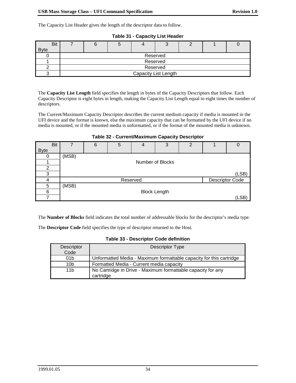The Capacity List Header gives the length of the descriptor data to follow.

| <b>Bit</b>  |                      |          |  |          |  |  |  |  |  |  |  |
|-------------|----------------------|----------|--|----------|--|--|--|--|--|--|--|
| <b>Byte</b> |                      |          |  |          |  |  |  |  |  |  |  |
|             |                      | Reserved |  |          |  |  |  |  |  |  |  |
|             |                      |          |  | Reserved |  |  |  |  |  |  |  |
|             |                      | Reserved |  |          |  |  |  |  |  |  |  |
|             | Capacity List Length |          |  |          |  |  |  |  |  |  |  |

**Table 31 - Capacity List Header**

The **Capacity List Length** field specifies the length in bytes of the Capacity Descriptors that follow. Each Capacity Descriptor is eight bytes in length, making the Capacity List Length equal to eight times the number of descriptors.

The Current/Maximum Capacity Descriptor describes the current medium capacity if media is mounted in the UFI device and the format is known, else the maximum capacity that can be formatted by the UFI device if no media is mounted, or if the mounted media is unformatted, or if the format of the mounted media is unknown.

| Bit         | 7     | 6                | 5 | 4        | 3                   | $\overline{2}$ |                        |       |  |  |  |  |
|-------------|-------|------------------|---|----------|---------------------|----------------|------------------------|-------|--|--|--|--|
| <b>Byte</b> |       |                  |   |          |                     |                |                        |       |  |  |  |  |
|             | (MSB) |                  |   |          |                     |                |                        |       |  |  |  |  |
|             |       | Number of Blocks |   |          |                     |                |                        |       |  |  |  |  |
| 2           |       |                  |   |          |                     |                |                        |       |  |  |  |  |
| 3           |       | (LSB)            |   |          |                     |                |                        |       |  |  |  |  |
|             |       |                  |   | Reserved |                     |                | <b>Descriptor Code</b> |       |  |  |  |  |
| 5           | (MSB) |                  |   |          |                     |                |                        |       |  |  |  |  |
| 6           |       |                  |   |          | <b>Block Length</b> |                |                        |       |  |  |  |  |
|             |       |                  |   |          |                     |                |                        | (LSB) |  |  |  |  |

**Table 32 - Current/Maximum Capacity Descriptor**

The **Number of Blocks** field indicates the total number of addressable blocks for the descriptor's media type.

The **Descriptor Code** field specifies the type of descriptor returned to the Host.

| <b>Table 33 - Descriptor Code definition</b> |
|----------------------------------------------|
| <b>- - - -</b>                               |

| Descriptor      | Descriptor Type                                                           |
|-----------------|---------------------------------------------------------------------------|
| Code            |                                                                           |
| 01 <sub>b</sub> | Unformatted Media - Maximum formattable capacity for this cartridge       |
| 10 <sub>b</sub> | Formatted Media - Current media capacity                                  |
| 11 <sub>b</sub> | No Cartridge in Drive - Maximum formattable capacity for any<br>cartridge |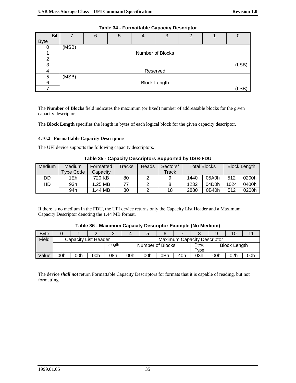| <b>Bit</b>  | 7     | 6                   | 5 | 4        | 3                | $\mathcal{P}$ |  |       |  |  |  |
|-------------|-------|---------------------|---|----------|------------------|---------------|--|-------|--|--|--|
| <b>Byte</b> |       |                     |   |          |                  |               |  |       |  |  |  |
|             | (MSB) |                     |   |          |                  |               |  |       |  |  |  |
|             |       |                     |   |          | Number of Blocks |               |  |       |  |  |  |
| 2           |       |                     |   |          |                  |               |  |       |  |  |  |
| 3           |       | (LSB)               |   |          |                  |               |  |       |  |  |  |
|             |       |                     |   | Reserved |                  |               |  |       |  |  |  |
| 5           | (MSB) |                     |   |          |                  |               |  |       |  |  |  |
| 6           |       | <b>Block Length</b> |   |          |                  |               |  |       |  |  |  |
|             |       |                     |   |          |                  |               |  | (LSB) |  |  |  |

**Table 34 - Formattable Capacity Descriptor**

The **Number of Blocks** field indicates the maximum (or fixed) number of addressable blocks for the given capacity descriptor.

The **Block Length** specifies the length in bytes of each logical block for the given capacity descriptor.

#### **4.10.2 Formattable Capacity Descriptors**

The UFI device supports the following capacity descriptors.

| Medium | <b>Medium</b><br><b>Type Code</b> | Formatted<br>Capacitv | $\mathsf{r}_\mathsf{racks}$ | Heads | Sectors/<br>$\mathsf{T}$ rack | <b>Total Blocks</b> |       | <b>Block Length</b> |       |
|--------|-----------------------------------|-----------------------|-----------------------------|-------|-------------------------------|---------------------|-------|---------------------|-------|
| DD     | 1Eh                               | 720 KB                | 80                          |       |                               | 1440                | 05A0h | 512                 | 0200h |
| HD     | 93h                               | 1.25 MB               |                             |       |                               | 1232                | 04D0h | 1024                | 0400h |
|        | 94h                               | 1.44 MB               | 80                          |       | 18                            | 2880                | 0B40h | 512                 | 0200h |

**Table 35 - Capacity Descriptors Supported by USB-FDU**

If there is no medium in the FDU, the UFI device returns only the Capacity List Header and a Maximum Capacity Descriptor denoting the 1.44 MB format.

| <b>Byte</b> |     |                      |     |                                    |                  |     |     |      |                     |     |     |     |
|-------------|-----|----------------------|-----|------------------------------------|------------------|-----|-----|------|---------------------|-----|-----|-----|
| Field       |     | Capacity List Header |     | <b>Maximum Capacity Descriptor</b> |                  |     |     |      |                     |     |     |     |
|             |     |                      |     | Length                             | Number of Blocks |     |     | Desc | <b>Block Length</b> |     |     |     |
|             |     |                      |     |                                    |                  |     |     |      | Tvpe                |     |     |     |
| Value       | 00h | 00h                  | 00h | 08h                                | 00h              | 00h | 0Bh | 40h  | 03h                 | 00h | 02h | 00h |

#### **Table 36 - Maximum Capacity Descriptor Example (No Medium)**

The device *shall not* return Formattable Capacity Descriptors for formats that it is capable of reading, but not formatting.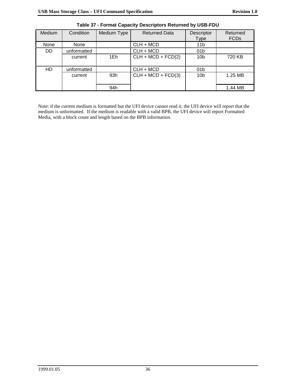| <b>Medium</b> | Condition   | Medium Type | <b>Returned Data</b> | Descriptor<br>Type | Returned<br><b>FCDs</b> |
|---------------|-------------|-------------|----------------------|--------------------|-------------------------|
| None          | None        |             | $CLH + MCD$          | 11 <sub>b</sub>    |                         |
| <b>DD</b>     | unformatted |             | CLH + MCD            | 01 <sub>b</sub>    |                         |
|               | current     | 1Eh         | $CLH + MCD + FCD(2)$ | 10 <sub>b</sub>    | 720 KB                  |
| HD            | unformatted |             | CLH + MCD            | 01 <sub>b</sub>    |                         |
|               | current     | 93h         | $CLH + MCD + FCD(3)$ | 10 <sub>b</sub>    | 1.25 MB                 |
|               |             | 94h         |                      |                    | 1.44 MB                 |

**Table 37 - Format Capacity Descriptors Returned by USB-FDU**

Note: if the current medium is formatted but the UFI device cannot read it, the UFI device will report that the medium is unformatted. If the medium is readable with a valid BPB, the UFI device will report Formatted Media, with a block count and length based on the BPB information.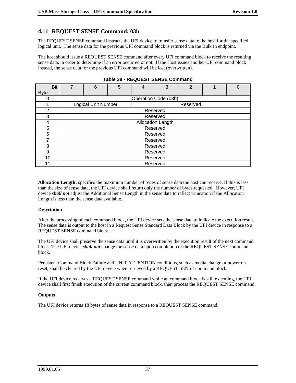# **4.11 REQUEST SENSE Command: 03h**

The REQUEST SENSE command instructs the UFI device to transfer sense data to the host for the specified logical unit. The sense data for the previous UFI command block is returned via the Bulk In endpoint.

The host should issue a REQUEST SENSE command after every UFI command block to receive the resulting sense data, in order to determine if an error occurred or not. If the Host issues another UFI command block instead, the sense data for the previous UFI command will be lost (overwritten).

| <b>Bit</b>  | 7 | 6                          | 5 | 4                    | 3                        | $\overline{2}$ |  | Ω |  |  |
|-------------|---|----------------------------|---|----------------------|--------------------------|----------------|--|---|--|--|
| <b>Byte</b> |   |                            |   |                      |                          |                |  |   |  |  |
| ი           |   |                            |   | Operation Code (03h) |                          |                |  |   |  |  |
|             |   | <b>Logical Unit Number</b> |   |                      |                          | Reserved       |  |   |  |  |
| 2           |   |                            |   | Reserved             |                          |                |  |   |  |  |
| 3           |   |                            |   | Reserved             |                          |                |  |   |  |  |
| 4           |   |                            |   |                      | <b>Allocation Length</b> |                |  |   |  |  |
| 5           |   |                            |   | Reserved             |                          |                |  |   |  |  |
| 6           |   |                            |   | Reserved             |                          |                |  |   |  |  |
| 7           |   |                            |   | Reserved             |                          |                |  |   |  |  |
| 8           |   |                            |   | Reserved             |                          |                |  |   |  |  |
| 9           |   | Reserved                   |   |                      |                          |                |  |   |  |  |
| 10          |   | Reserved                   |   |                      |                          |                |  |   |  |  |
| 11          |   |                            |   | Reserved             |                          |                |  |   |  |  |

|  | Table 38 - REQUEST SENSE Command |  |  |
|--|----------------------------------|--|--|
|--|----------------------------------|--|--|

**Allocation Length:** specifies the maximum number of bytes of sense data the host can receive. If this is less than the size of sense data, the UFI device shall return only the number of bytes requested. However, UFI device *shall not* adjust the Additional Sense Length in the sense data to reflect truncation if the Allocation Length is less than the sense data available.

#### **Description**

After the processing of each command block, the UFI device sets the sense data to indicate the execution result. The sense data is output to the host in a Request Sense Standard Data Block by the UFI device in response to a REQUEST SENSE command block.

The UFI device shall preserve the sense data until it is overwritten by the execution result of the next command block. The UFI device *shall not* change the sense data upon completion of the REQUEST SENSE command block.

Persistent Command Block Failure and UNIT ATTENTION conditions, such as media change or power on reset, shall be cleared by the UFI device when retrieved by a REQUEST SENSE command block.

If the UFI device receives a REQUEST SENSE command while an command block is still executing, the UFI device shall first finish execution of the current command block, then process the REQUEST SENSE command.

#### **Outputs**

The UFI device returns 18 bytes of sense data in response to a REQUEST SENSE command.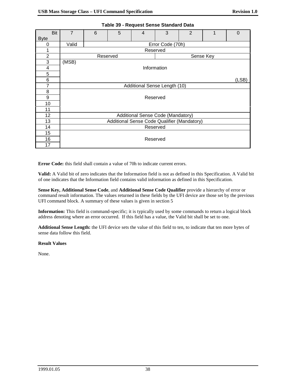| Bit<br><b>Byte</b> | $\overline{7}$        | 6        | 5 | $\overline{4}$                              | 3                | 2 |  | $\Omega$ |  |  |  |
|--------------------|-----------------------|----------|---|---------------------------------------------|------------------|---|--|----------|--|--|--|
| 0                  | Valid                 |          |   |                                             | Error Code (70h) |   |  |          |  |  |  |
| 1                  |                       | Reserved |   |                                             |                  |   |  |          |  |  |  |
| $\overline{2}$     | Reserved<br>Sense Key |          |   |                                             |                  |   |  |          |  |  |  |
| 3                  | (MSB)                 |          |   |                                             |                  |   |  |          |  |  |  |
| 4                  |                       |          |   |                                             | Information      |   |  |          |  |  |  |
| 5                  |                       |          |   |                                             |                  |   |  |          |  |  |  |
| 6                  |                       |          |   |                                             |                  |   |  | (LSB)    |  |  |  |
| 7                  |                       |          |   | Additional Sense Length (10)                |                  |   |  |          |  |  |  |
| 8                  |                       |          |   |                                             |                  |   |  |          |  |  |  |
| 9                  |                       |          |   | Reserved                                    |                  |   |  |          |  |  |  |
| 10                 |                       |          |   |                                             |                  |   |  |          |  |  |  |
| 11                 |                       |          |   |                                             |                  |   |  |          |  |  |  |
| 12                 |                       |          |   | Additional Sense Code (Mandatory)           |                  |   |  |          |  |  |  |
| 13                 |                       |          |   | Additional Sense Code Qualifier (Mandatory) |                  |   |  |          |  |  |  |
| 14                 |                       |          |   | Reserved                                    |                  |   |  |          |  |  |  |
| 15                 |                       |          |   |                                             |                  |   |  |          |  |  |  |
| 16                 |                       |          |   | Reserved                                    |                  |   |  |          |  |  |  |
| 17                 |                       |          |   |                                             |                  |   |  |          |  |  |  |

**Table 39 - Request Sense Standard Data**

**Error Code:** this field shall contain a value of 70h to indicate current errors.

**Valid:** A Valid bit of zero indicates that the Information field is not as defined in this Specification. A Valid bit of one indicates that the Information field contains valid information as defined in this Specification.

**Sense Key, Additional Sense Code**, and **Additional Sense Code Qualifier** provide a hierarchy of error or command result information. The values returned in these fields by the UFI device are those set by the previous UFI command block. A summary of these values is given in section 5

**Information:** This field is command-specific; it is typically used by some commands to return a logical block address denoting where an error occurred. If this field has a value, the Valid bit shall be set to one.

**Additional Sense Length:** the UFI device sets the value of this field to ten, to indicate that ten more bytes of sense data follow this field.

**Result Values**

None.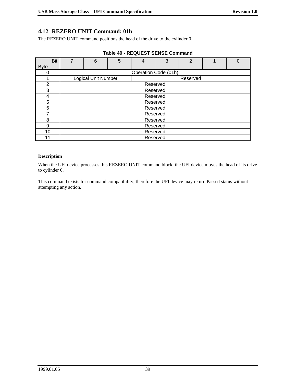## **4.12 REZERO UNIT Command: 01h**

The REZERO UNIT command positions the head of the drive to the cylinder 0 .

| <b>Bit</b>     | 7 | 6                   | 5 | 4 | 3                    | $\overline{2}$ |  | 0 |
|----------------|---|---------------------|---|---|----------------------|----------------|--|---|
| <b>Byte</b>    |   |                     |   |   |                      |                |  |   |
|                |   |                     |   |   | Operation Code (01h) |                |  |   |
|                |   | Logical Unit Number |   |   |                      | Reserved       |  |   |
| $\mathfrak{p}$ |   |                     |   |   | Reserved             |                |  |   |
| 3              |   |                     |   |   | Reserved             |                |  |   |
| 4              |   |                     |   |   | Reserved             |                |  |   |
| 5              |   | Reserved            |   |   |                      |                |  |   |
| 6              |   |                     |   |   | Reserved             |                |  |   |
|                |   |                     |   |   | Reserved             |                |  |   |
| 8              |   | Reserved            |   |   |                      |                |  |   |
| 9              |   | Reserved            |   |   |                      |                |  |   |
| 10             |   | Reserved            |   |   |                      |                |  |   |
| 11             |   | Reserved            |   |   |                      |                |  |   |

|  | Table 40 - REQUEST SENSE Command |  |  |
|--|----------------------------------|--|--|
|--|----------------------------------|--|--|

#### **Description**

When the UFI device processes this REZERO UNIT command block, the UFI device moves the head of its drive to cylinder 0.

This command exists for command compatibility, therefore the UFI device may return Passed status without attempting any action.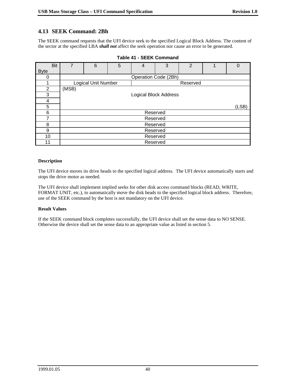# **4.13 SEEK Command: 2Bh**

The SEEK command requests that the UFI device seek to the specified Logical Block Address. The content of the sector at the specified LBA *shall not* affect the seek operation nor cause an error to be generated.

| <b>Bit</b>  | 7     | 6                          | 5 | 4                            | 3        | 2        |  | 0 |
|-------------|-------|----------------------------|---|------------------------------|----------|----------|--|---|
| <b>Byte</b> |       |                            |   |                              |          |          |  |   |
| 0           |       |                            |   | Operation Code (2Bh)         |          |          |  |   |
|             |       | <b>Logical Unit Number</b> |   |                              |          | Reserved |  |   |
| 2           | (MSB) |                            |   |                              |          |          |  |   |
| 3           |       |                            |   | <b>Logical Block Address</b> |          |          |  |   |
| 4           |       |                            |   |                              |          |          |  |   |
| 5           |       | (LSB)                      |   |                              |          |          |  |   |
| 6           |       |                            |   |                              | Reserved |          |  |   |
| 7           |       |                            |   |                              | Reserved |          |  |   |
| 8           |       | Reserved                   |   |                              |          |          |  |   |
| 9           |       | Reserved                   |   |                              |          |          |  |   |
| 10          |       | Reserved                   |   |                              |          |          |  |   |
| 11          |       | Reserved                   |   |                              |          |          |  |   |

| <b>Table 41 - SEEK Command</b> |  |
|--------------------------------|--|
|--------------------------------|--|

#### **Description**

The UFI device moves its drive heads to the specified logical address. The UFI device automatically starts and stops the drive motor as needed.

The UFI device shall implement implied seeks for other disk access command blocks (READ, WRITE, FORMAT UNIT, etc.), to automatically move the disk heads to the specified logical block address. Therefore, use of the SEEK command by the host is not mandatory on the UFI device.

#### **Result Values**

If the SEEK command block completes successfully, the UFI device shall set the sense data to NO SENSE. Otherwise the device shall set the sense data to an appropriate value as listed in section 5.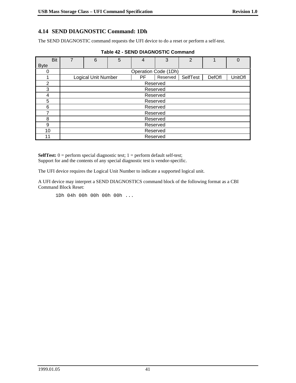# **4.14 SEND DIAGNOSTIC Command: 1Dh**

The SEND DIAGNOSTIC command requests the UFI device to do a reset or perform a self-test*.*

| <b>Bit</b>     | 7 | 6                          | 5 | 4  | 3                    | $\overline{2}$ |               | 0       |
|----------------|---|----------------------------|---|----|----------------------|----------------|---------------|---------|
| <b>Byte</b>    |   |                            |   |    |                      |                |               |         |
|                |   |                            |   |    | Operation Code (1Dh) |                |               |         |
|                |   | <b>Logical Unit Number</b> |   | РF | Reserved             | SelfTest       | <b>DefOfl</b> | UnitOfl |
| $\overline{2}$ |   |                            |   |    | Reserved             |                |               |         |
| 3              |   |                            |   |    | Reserved             |                |               |         |
| 4              |   |                            |   |    | Reserved             |                |               |         |
| 5              |   |                            |   |    | Reserved             |                |               |         |
| 6              |   |                            |   |    | Reserved             |                |               |         |
| 7              |   |                            |   |    | Reserved             |                |               |         |
| 8              |   | Reserved                   |   |    |                      |                |               |         |
| 9              |   | Reserved                   |   |    |                      |                |               |         |
| 10             |   | Reserved                   |   |    |                      |                |               |         |
| 11             |   | Reserved                   |   |    |                      |                |               |         |

|  |  | <b>Table 42 - SEND DIAGNOSTIC Command</b> |  |
|--|--|-------------------------------------------|--|
|--|--|-------------------------------------------|--|

**SelfTest:**  $0 =$  perform special diagnostic test;  $1 =$  perform default self-test; Support for and the contents of any special diagnostic test is vendor-specific.

The UFI device requires the Logical Unit Number to indicate a supported logical unit.

A UFI device may interpret a SEND DIAGNOSTICS command block of the following format as a CBI Command Block Reset:

1Dh 04h 00h 00h 00h 00h ...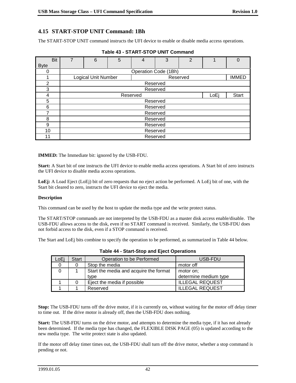# **4.15 START-STOP UNIT Command: 1Bh**

The START-STOP UNIT command instructs the UFI device to enable or disable media access operations.

| <b>Bit</b>     | 7 | 6                   | 5 | 4        | 3                    | $\overline{2}$ | 1    | $\Omega$     |
|----------------|---|---------------------|---|----------|----------------------|----------------|------|--------------|
| <b>Byte</b>    |   |                     |   |          |                      |                |      |              |
| 0              |   |                     |   |          | Operation Code (1Bh) |                |      |              |
|                |   | Logical Unit Number |   |          |                      | Reserved       |      | <b>IMMED</b> |
| $\overline{2}$ |   |                     |   |          | Reserved             |                |      |              |
| 3              |   |                     |   |          | Reserved             |                |      |              |
| 4              |   |                     |   | Reserved |                      |                | LoEi | Start        |
| 5              |   |                     |   |          | Reserved             |                |      |              |
| 6              |   |                     |   |          | Reserved             |                |      |              |
| 7              |   |                     |   |          | Reserved             |                |      |              |
| 8              |   | Reserved            |   |          |                      |                |      |              |
| 9              |   | Reserved            |   |          |                      |                |      |              |
| 10             |   | Reserved            |   |          |                      |                |      |              |
| 11             |   | Reserved            |   |          |                      |                |      |              |

|  |  | Table 43 - START-STOP UNIT Command |
|--|--|------------------------------------|
|--|--|------------------------------------|

**IMMED:** The Immediate bit: ignored by the USB-FDU.

**Start:** A Start bit of one instructs the UFI device to enable media access operations. A Start bit of zero instructs the UFI device to disable media access operations.

**LoEj:** A Load Eject (LoEj) bit of zero requests that no eject action be performed. A LoEj bit of one, with the Start bit cleared to zero, instructs the UFI device to eject the media.

#### **Description**

This command can be used by the host to update the media type and the write protect status.

The START/STOP commands are not interpreted by the USB-FDU as a master disk access enable/disable. The USB-FDU allows access to the disk, even if no START command is received. Similarly, the USB-FDU does not forbid access to the disk, even if a STOP command is received.

The Start and LoEj bits combine to specify the operation to be performed, as summarized in Table 44 below.

| LoEi | <b>Start</b> | Operation to be Performed              | USB-FDU                |
|------|--------------|----------------------------------------|------------------------|
|      |              | Stop the media                         | motor off              |
|      |              | Start the media and acquire the format | motor on:              |
|      |              | type                                   | determine medium type  |
|      |              | Eject the media if possible            | <b>ILLEGAL REQUEST</b> |
|      |              | Reserved                               | <b>ILLEGAL REQUEST</b> |

**Table 44 - Start-Stop and Eject Operations**

**Stop:** The USB-FDU turns off the drive motor, if it is currently on, without waiting for the motor off delay timer to time out. If the drive motor is already off, then the USB-FDU does nothing.

**Start:** The USB-FDU turns on the drive motor, and attempts to determine the media type, if it has not already been determined. If the media type has changed, the FLEXIBLE DISK PAGE (05) is updated according to the new media type. The write protect state is also updated.

If the motor off delay timer times out, the USB-FDU shall turn off the drive motor, whether a stop command is pending or not.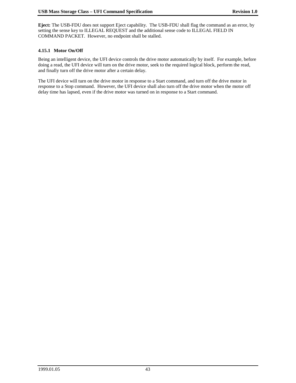**Eject:** The USB-FDU does not support Eject capability. The USB-FDU shall flag the command as an error, by setting the sense key to ILLEGAL REQUEST and the additional sense code to ILLEGAL FIELD IN COMMAND PACKET. However, no endpoint shall be stalled.

#### **4.15.1 Motor On/Off**

Being an intelligent device, the UFI device controls the drive motor automatically by itself. For example, before doing a read, the UFI device will turn on the drive motor, seek to the required logical block, perform the read, and finally turn off the drive motor after a certain delay.

The UFI device will turn on the drive motor in response to a Start command, and turn off the drive motor in response to a Stop command. However, the UFI device shall also turn off the drive motor when the motor off delay time has lapsed, even if the drive motor was turned on in response to a Start command.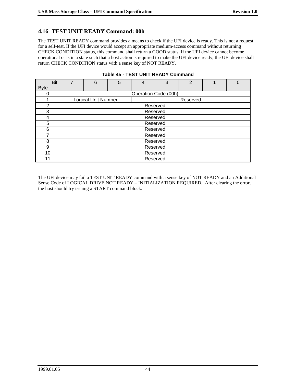# **4.16 TEST UNIT READY Command: 00h**

The TEST UNIT READY command provides a means to check if the UFI device is ready. This is not a request for a self-test. If the UFI device would accept an appropriate medium-access command without returning CHECK CONDITION status, this command shall return a GOOD status. If the UFI device cannot become operational or is in a state such that a host action is required to make the UFI device ready, the UFI device shall return CHECK CONDITION status with a sense key of NOT READY.

| <b>Bit</b>  | $\overline{7}$ | 6                          | 5 |                      | 3        | $\overline{2}$ |  |  |
|-------------|----------------|----------------------------|---|----------------------|----------|----------------|--|--|
| <b>Byte</b> |                |                            |   |                      |          |                |  |  |
|             |                |                            |   | Operation Code (00h) |          |                |  |  |
|             |                | <b>Logical Unit Number</b> |   |                      |          | Reserved       |  |  |
| っ           |                |                            |   |                      | Reserved |                |  |  |
| 3           |                |                            |   |                      | Reserved |                |  |  |
| 4           |                |                            |   |                      | Reserved |                |  |  |
| 5           |                |                            |   | Reserved             |          |                |  |  |
| 6           |                |                            |   |                      | Reserved |                |  |  |
|             |                |                            |   |                      | Reserved |                |  |  |
| 8           |                | Reserved                   |   |                      |          |                |  |  |
| 9           |                | Reserved                   |   |                      |          |                |  |  |
| 10          |                | Reserved                   |   |                      |          |                |  |  |
| 11          |                | Reserved                   |   |                      |          |                |  |  |

#### **Table 45 - TEST UNIT READY Command**

The UFI device may fail a TEST UNIT READY command with a sense key of NOT READY and an Additional Sense Code of LOGICAL DRIVE NOT READY – INITIALIZATION REQUIRED. After clearing the error, the host should try issuing a START command block.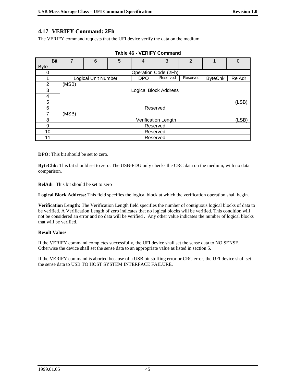# **4.17 VERIFY Command: 2Fh**

The VERIFY command requests that the UFI device verify the data on the medium.

|             | <b>Bit</b> |                              | 6                          | 5 | 4                            | 3        | $\mathfrak{p}$ |                | 0      |
|-------------|------------|------------------------------|----------------------------|---|------------------------------|----------|----------------|----------------|--------|
| <b>Byte</b> |            |                              |                            |   |                              |          |                |                |        |
| 0           |            |                              |                            |   | Operation Code (2Fh)         |          |                |                |        |
|             |            |                              | <b>Logical Unit Number</b> |   | <b>DPO</b>                   | Reserved | Reserved       | <b>ByteChk</b> | RelAdr |
| 2           |            | (MSB)                        |                            |   |                              |          |                |                |        |
| 3           |            |                              |                            |   | <b>Logical Block Address</b> |          |                |                |        |
| 4           |            |                              |                            |   |                              |          |                |                |        |
| 5           |            |                              |                            |   |                              |          |                |                | (LSB)  |
| 6           |            |                              |                            |   | Reserved                     |          |                |                |        |
| 7           |            | (MSB)                        |                            |   |                              |          |                |                |        |
| 8           |            | (LSB)<br>Verification Length |                            |   |                              |          |                |                |        |
| 9           |            | Reserved                     |                            |   |                              |          |                |                |        |
| 10          |            |                              | Reserved                   |   |                              |          |                |                |        |
| 11          |            |                              | Reserved                   |   |                              |          |                |                |        |

| <b>Table 46 - VERIFY Command</b> |  |
|----------------------------------|--|
|----------------------------------|--|

**DPO:** This bit should be set to zero.

**ByteChk:** This bit should set to zero. The USB-FDU only checks the CRC data on the medium, with no data comparison.

**RelAdr**: This bit should be set to zero

**Logical Block Address:** This field specifies the logical block at which the verification operation shall begin.

**Verification Length:** The Verification Length field specifies the number of contiguous logical blocks of data to be verified. A Verification Length of zero indicates that no logical blocks will be verified. This condition will not be considered an error and no data will be verified . Any other value indicates the number of logical blocks that will be verified.

#### **Result Values**

If the VERIFY command completes successfully, the UFI device shall set the sense data to NO SENSE. Otherwise the device shall set the sense data to an appropriate value as listed in section 5.

If the VERIFY command is aborted because of a USB bit stuffing error or CRC error, the UFI device shall set the sense data to USB TO HOST SYSTEM INTERFACE FAILURE.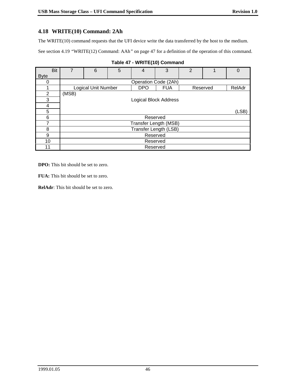# **4.18 WRITE(10) Command: 2Ah**

The WRITE(10) command requests that the UFI device write the data transferred by the host to the medium.

See section 4.19 *"*WRITE(12) Command: AAh*"* on page 47 for a definition of the operation of this command.

| Bit            | 7     | 6                          | 5 | 4                            | 3          | $\overline{2}$ |          | $\Omega$ |  |
|----------------|-------|----------------------------|---|------------------------------|------------|----------------|----------|----------|--|
| <b>Byte</b>    |       |                            |   |                              |            |                |          |          |  |
| 0              |       |                            |   | Operation Code (2Ah)         |            |                |          |          |  |
|                |       | <b>Logical Unit Number</b> |   | <b>DPO</b>                   | <b>FUA</b> |                | Reserved | RelAdr   |  |
| $\overline{2}$ | (MSB) |                            |   |                              |            |                |          |          |  |
| 3              |       |                            |   | <b>Logical Block Address</b> |            |                |          |          |  |
| 4              |       |                            |   |                              |            |                |          |          |  |
| 5              |       | (LSB)                      |   |                              |            |                |          |          |  |
| 6              |       | Reserved                   |   |                              |            |                |          |          |  |
| 7              |       | Transfer Length (MSB)      |   |                              |            |                |          |          |  |
| 8              |       | Transfer Length (LSB)      |   |                              |            |                |          |          |  |
| 9              |       | Reserved                   |   |                              |            |                |          |          |  |
| 10             |       | Reserved                   |   |                              |            |                |          |          |  |
| 11             |       | Reserved                   |   |                              |            |                |          |          |  |

# **Table 47 - WRITE(10) Command**

**DPO:** This bit should be set to zero.

**FUA:** This bit should be set to zero.

**RelAdr**: This bit should be set to zero.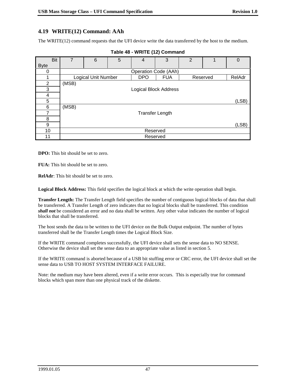# **4.19 WRITE(12) Command: AAh**

The WRITE(12) command requests that the UFI device write the data transferred by the host to the medium.

| <b>Bit</b>     |       | 6                   | 5 | $\overline{4}$ | 3                            | $\overline{2}$ |          | 0      |
|----------------|-------|---------------------|---|----------------|------------------------------|----------------|----------|--------|
| <b>Byte</b>    |       |                     |   |                |                              |                |          |        |
| 0              |       |                     |   |                | Operation Code (AAh)         |                |          |        |
|                |       | Logical Unit Number |   |                | <b>FUA</b>                   |                | Reserved | RelAdr |
| $\overline{2}$ | (MSB) |                     |   |                |                              |                |          |        |
| 3              |       |                     |   |                | <b>Logical Block Address</b> |                |          |        |
| 4              |       |                     |   |                |                              |                |          |        |
| 5              |       |                     |   |                |                              |                |          | (LSB)  |
| 6              | (MSB) |                     |   |                |                              |                |          |        |
| 7              |       |                     |   |                | <b>Transfer Length</b>       |                |          |        |
| 8              |       |                     |   |                |                              |                |          |        |
| 9              |       |                     |   |                |                              |                |          | (LSB)  |
| 10             |       |                     |   |                | Reserved                     |                |          |        |
| 11             |       | Reserved            |   |                |                              |                |          |        |

| Table 48 - WRITE (12) Command |  |
|-------------------------------|--|
|-------------------------------|--|

**DPO:** This bit should be set to zero.

**FUA:** This bit should be set to zero.

**RelAdr**: This bit should be set to zero.

**Logical Block Address:** This field specifies the logical block at which the write operation shall begin.

**Transfer Length:** The Transfer Length field specifies the number of contiguous logical blocks of data that shall be transferred. A Transfer Length of zero indicates that no logical blocks shall be transferred. This condition *shall not* be considered an error and no data shall be written. Any other value indicates the number of logical blocks that shall be transferred.

The host sends the data to be written to the UFI device on the Bulk Output endpoint. The number of bytes transferred shall be the Transfer Length times the Logical Block Size.

If the WRITE command completes successfully, the UFI device shall sets the sense data to NO SENSE. Otherwise the device shall set the sense data to an appropriate value as listed in section 5.

If the WRITE command is aborted because of a USB bit stuffing error or CRC error, the UFI device shall set the sense data to USB TO HOST SYSTEM INTERFACE FAILURE.

Note: the medium may have been altered, even if a write error occurs. This is especially true for command blocks which span more than one physical track of the diskette.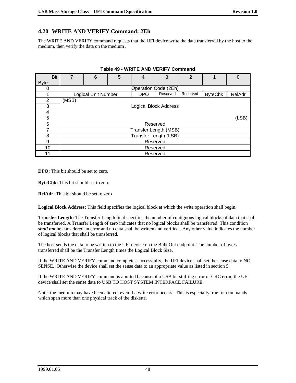# **4.20 WRITE AND VERIFY Command: 2Eh**

The WRITE AND VERIFY command requests that the UFI device write the data transferred by the host to the medium, then verify the data on the medium .

| Bit            | 7        | 6                          | 5 | 4          | 3                            | $\overline{2}$ |                | 0      |  |
|----------------|----------|----------------------------|---|------------|------------------------------|----------------|----------------|--------|--|
| <b>Byte</b>    |          |                            |   |            |                              |                |                |        |  |
| 0              |          |                            |   |            | Operation Code (2Eh)         |                |                |        |  |
|                |          | <b>Logical Unit Number</b> |   | <b>DPO</b> | Reserved                     | Reserved       | <b>ByteChk</b> | RelAdr |  |
| $\overline{2}$ | (MSB)    |                            |   |            |                              |                |                |        |  |
| 3              |          |                            |   |            | <b>Logical Block Address</b> |                |                |        |  |
| 4              |          |                            |   |            |                              |                |                |        |  |
| 5              |          | (LSB)                      |   |            |                              |                |                |        |  |
| 6              |          | Reserved                   |   |            |                              |                |                |        |  |
| 7              |          | Transfer Length (MSB)      |   |            |                              |                |                |        |  |
| 8              |          | Transfer Length (LSB)      |   |            |                              |                |                |        |  |
| 9              |          | Reserved                   |   |            |                              |                |                |        |  |
| 10             |          | Reserved                   |   |            |                              |                |                |        |  |
| 11             | Reserved |                            |   |            |                              |                |                |        |  |

**Table 49 - WRITE AND VERIFY Command**

**DPO:** This bit should be set to zero.

**ByteChk:** This bit should set to zero.

**RelAdr**: This bit should be set to zero

**Logical Block Address:** This field specifies the logical block at which the write operation shall begin.

**Transfer Length:** The Transfer Length field specifies the number of contiguous logical blocks of data that shall be transferred. A Transfer Length of zero indicates that no logical blocks shall be transferred. This condition *shall not* be considered an error and no data shall be written and verified . Any other value indicates the number of logical blocks that shall be transferred.

The host sends the data to be written to the UFI device on the Bulk Out endpoint. The number of bytes transferred shall be the Transfer Length times the Logical Block Size.

If the WRITE AND VERIFY command completes successfully, the UFI device shall set the sense data to NO SENSE. Otherwise the device shall set the sense data to an appropriate value as listed in section 5.

If the WRITE AND VERIFY command is aborted because of a USB bit stuffing error or CRC error, the UFI device shall set the sense data to USB TO HOST SYSTEM INTERFACE FAILURE.

Note: the medium may have been altered, even if a write error occurs. This is especially true for commands which span more than one physical track of the diskette.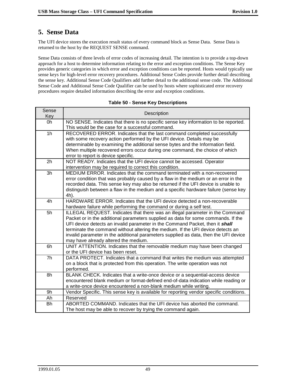# **5. Sense Data**

The UFI device stores the execution result status of every command block as Sense Data. Sense Data is returned to the host by the REQUEST SENSE command.

Sense Data consists of three levels of error codes of increasing detail. The intention is to provide a top-down approach for a host to determine information relating to the error and exception conditions. The Sense Key provides generic categories in which error and exception conditions can be reported. Hosts would typically use sense keys for high-level error recovery procedures. Additional Sense Codes provide further detail describing the sense key. Additional Sense Code Qualifiers add further detail to the additional sense code. The Additional Sense Code and Additional Sense Code Qualifier can be used by hosts where sophisticated error recovery procedures require detailed information describing the error and exception conditions.

| Sense<br>Key   | Description                                                                                                                                                                                                                                                                                                                                                                                                                                                                  |
|----------------|------------------------------------------------------------------------------------------------------------------------------------------------------------------------------------------------------------------------------------------------------------------------------------------------------------------------------------------------------------------------------------------------------------------------------------------------------------------------------|
| 0h             | NO SENSE. Indicates that there is no specific sense key information to be reported.<br>This would be the case for a successful command.                                                                                                                                                                                                                                                                                                                                      |
| 1 <sub>h</sub> | RECOVERED ERROR. Indicates that the last command completed successfully<br>with some recovery action performed by the UFI device. Details may be<br>determinable by examining the additional sense bytes and the Information field.<br>When multiple recovered errors occur during one command, the choice of which<br>error to report is device specific.                                                                                                                   |
| 2h             | NOT READY. Indicates that the UFI device cannot be accessed. Operator<br>intervention may be required to correct this condition.                                                                                                                                                                                                                                                                                                                                             |
| 3h             | MEDIUM ERROR. Indicates that the command terminated with a non-recovered<br>error condition that was probably caused by a flaw in the medium or an error in the<br>recorded data. This sense key may also be returned if the UFI device is unable to<br>distinguish between a flaw in the medium and a specific hardware failure (sense key<br>4h).                                                                                                                          |
| 4h             | HARDWARE ERROR. Indicates that the UFI device detected a non-recoverable<br>hardware failure while performing the command or during a self test.                                                                                                                                                                                                                                                                                                                             |
| 5h             | ILLEGAL REQUEST. Indicates that there was an illegal parameter in the Command<br>Packet or in the additional parameters supplied as data for some commands. If the<br>UFI device detects an invalid parameter in the Command Packet, then it <b>shall</b><br>terminate the command without altering the medium. If the UFI device detects an<br>invalid parameter in the additional parameters supplied as data, then the UFI device<br>may have already altered the medium. |
| 6h             | UNIT ATTENTION. Indicates that the removable medium may have been changed<br>or the UFI device has been reset.                                                                                                                                                                                                                                                                                                                                                               |
| 7 <sub>h</sub> | DATA PROTECT. Indicates that a command that writes the medium was attempted<br>on a block that is protected from this operation. The write operation was not<br>performed.                                                                                                                                                                                                                                                                                                   |
| 8h             | BLANK CHECK. Indicates that a write-once device or a sequential-access device<br>encountered blank medium or format-defined end-of-data indication while reading or<br>a write-once device encountered a non-blank medium while writing.                                                                                                                                                                                                                                     |
| 9h             | Vendor Specific. This sense key is available for reporting vendor specific conditions.                                                                                                                                                                                                                                                                                                                                                                                       |
| Ah             | Reserved                                                                                                                                                                                                                                                                                                                                                                                                                                                                     |
| <b>Bh</b>      | ABORTED COMMAND. Indicates that the UFI device has aborted the command.<br>The host may be able to recover by trying the command again.                                                                                                                                                                                                                                                                                                                                      |

#### **Table 50 - Sense Key Descriptions**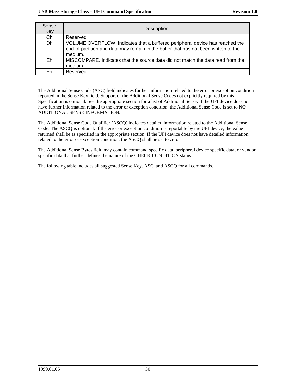| Sense<br>Key | Description                                                                                                                                                                    |
|--------------|--------------------------------------------------------------------------------------------------------------------------------------------------------------------------------|
| Ch           | Reserved                                                                                                                                                                       |
| Dh           | VOLUME OVERFLOW. Indicates that a buffered peripheral device has reached the<br>end-of-partition and data may remain in the buffer that has not been written to the<br>medium. |
| Eh           | MISCOMPARE, Indicates that the source data did not match the data read from the<br>medium.                                                                                     |
| Fh           | Reserved                                                                                                                                                                       |

The Additional Sense Code (ASC) field indicates further information related to the error or exception condition reported in the Sense Key field. Support of the Additional Sense Codes not explicitly required by this Specification is optional. See the appropriate section for a list of Additional Sense. If the UFI device does not have further information related to the error or exception condition, the Additional Sense Code is set to NO ADDITIONAL SENSE INFORMATION.

The Additional Sense Code Qualifier (ASCQ) indicates detailed information related to the Additional Sense Code. The ASCQ is optional. If the error or exception condition is reportable by the UFI device, the value returned shall be as specified in the appropriate section. If the UFI device does not have detailed information related to the error or exception condition, the ASCQ shall be set to zero.

The Additional Sense Bytes field may contain command specific data, peripheral device specific data, or vendor specific data that further defines the nature of the CHECK CONDITION status.

The following table includes all suggested Sense Key, ASC, and ASCQ for all commands.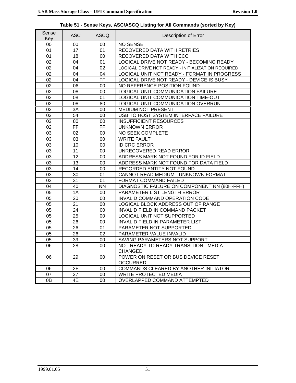$\overline{\mathbf{1}}$ 

| Sense<br>Key | <b>ASC</b> | <b>ASCQ</b> | Description of Error                                    |
|--------------|------------|-------------|---------------------------------------------------------|
| 00           | 00         | 00          | <b>NO SENSE</b>                                         |
| 01           | 17         | 01          | RECOVERED DATA WITH RETRIES                             |
| 01           | 18         | 00          | RECOVERED DATA WITH ECC                                 |
| 02           | 04         | 01          | LOGICAL DRIVE NOT READY - BECOMING READY                |
| 02           | 04         | 02          | LOGICAL DRIVE NOT READY - INITIALIZATION REQUIRED       |
| 02           | 04         | 04          | LOGICAL UNIT NOT READY - FORMAT IN PROGRESS             |
| 02           | 04         | FF          | LOGICAL DRIVE NOT READY - DEVICE IS BUSY                |
| 02           | 06         | 00          | NO REFERENCE POSITION FOUND                             |
| 02           | 08         | 00          | LOGICAL UNIT COMMUNICATION FAILURE                      |
| 02           | 08         | 01          | LOGICAL UNIT COMMUNICATION TIME-OUT                     |
| 02           | 08         | 80          | LOGICAL UNIT COMMUNICATION OVERRUN                      |
| 02           | 3A         | 00          | MEDIUM NOT PRESENT                                      |
| 02           | 54         | 00          | USB TO HOST SYSTEM INTERFACE FAILURE                    |
| 02           | 80         | 00          | <b>INSUFFICIENT RESOURCES</b>                           |
| 02           | FF         | FF          | <b>UNKNOWN ERROR</b>                                    |
| 03           | 02         | 00          | NO SEEK COMPLETE                                        |
| 03           | 03         | 00          | <b>WRITE FAULT</b>                                      |
| 03           | 10         | 00          | <b>ID CRC ERROR</b>                                     |
| 03           | 11         | 00          | UNRECOVERED READ ERROR                                  |
| 03           | 12         | 00          | ADDRESS MARK NOT FOUND FOR ID FIELD                     |
| 03           | 13         | 00          | ADDRESS MARK NOT FOUND FOR DATA FIELD                   |
| 03           | 14         | 00          | RECORDED ENTITY NOT FOUND                               |
| 03           | 30         | 01          | CANNOT READ MEDIUM - UNKNOWN FORMAT                     |
| 03           | 31         | 01          | FORMAT COMMAND FAILED                                   |
| 04           | 40         | <b>NN</b>   | DIAGNOSTIC FAILURE ON COMPONENT NN (80H-FFH)            |
| 05           | 1A         | 00          | PARAMETER LIST LENGTH ERROR                             |
| 05           | 20         | 00          | INVALID COMMAND OPERATION CODE                          |
| 05           | 21         | 00          | LOGICAL BLOCK ADDRESS OUT OF RANGE                      |
| 05           | 24         | 00          | INVALID FIELD IN COMMAND PACKET                         |
| 05           | 25         | 00          | LOGICAL UNIT NOT SUPPORTED                              |
| 05           | 26         | 00          | <b>INVALID FIELD IN PARAMETER LIST</b>                  |
| 05           | 26         | 01          | PARAMETER NOT SUPPORTED                                 |
| 05           | 26         | 02          | PARAMETER VALUE INVALID                                 |
| 05           | 39         | 00          | SAVING PARAMETERS NOT SUPPORT                           |
| 06           | 28         | $00\,$      | NOT READY TO READY TRANSITION - MEDIA<br><b>CHANGED</b> |
| 06           | 29         | 00          | POWER ON RESET OR BUS DEVICE RESET<br><b>OCCURRED</b>   |
| 06           | 2F         | $00\,$      | COMMANDS CLEARED BY ANOTHER INITIATOR                   |
| 07           | 27         | $00\,$      | WRITE PROTECTED MEDIA                                   |
| 0B           | 4E         | 00          | OVERLAPPED COMMAND ATTEMPTED                            |

**Table 51 - Sense Keys, ASC/ASCQ Listing for All Commands (sorted by Key)**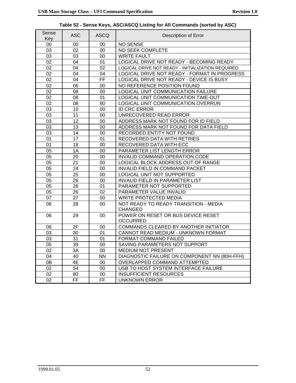٦

| Sense<br>Key | <b>ASC</b>      | <b>ASCQ</b> | Description of Error                              |
|--------------|-----------------|-------------|---------------------------------------------------|
| 00           | 00              | 00          | <b>NO SENSE</b>                                   |
| 03           | 02              | 00          | NO SEEK COMPLETE                                  |
| 03           | 03              | 00          | <b>WRITE FAULT</b>                                |
| 02           | 04              | 01          | LOGICAL DRIVE NOT READY - BECOMING READY          |
| 02           | 04              | 02          | LOGICAL DRIVE NOT READY - INITIALIZATION REQUIRED |
| 02           | 04              | 04          | LOGICAL DRIVE NOT READY - FORMAT IN PROGRESS      |
| 02           | 04              | FF          | LOGICAL DRIVE NOT READY - DEVICE IS BUSY          |
| 02           | 06              | 00          | NO REFERENCE POSITION FOUND                       |
| 02           | 08              | 00          | LOGICAL UNIT COMMUNICATION FAILURE                |
| 02           | 08              | 01          | LOGICAL UNIT COMMUNICATION TIME-OUT               |
| 02           | 08              | 80          | LOGICAL UNIT COMMUNICATION OVERRUN                |
| 03           | 10              | 00          | <b>ID CRC ERROR</b>                               |
| 03           | 11              | 00          | UNRECOVERED READ ERROR                            |
| 03           | 12              | 00          | ADDRESS MARK NOT FOUND FOR ID FIELD               |
| 03           | 13              | 00          | ADDRESS MARK NOT FOUND FOR DATA FIELD             |
| 03           | 14              | 00          | RECORDED ENTITY NOT FOUND                         |
| 01           | 17              | 01          | RECOVERED DATA WITH RETRIES                       |
| 01           | 18              | 00          | RECOVERED DATA WITH ECC                           |
| 05           | 1A              | 00          | PARAMETER LIST LENGTH ERROR                       |
| 05           | 20              | 00          | INVALID COMMAND OPERATION CODE                    |
| 05           | 21              | 00          | LOGICAL BLOCK ADDRESS OUT OF RANGE                |
| 05           | 24              | 00          | INVALID FIELD IN COMMAND PACKET                   |
| 05           | 25              | 00          | LOGICAL UNIT NOT SUPPORTED                        |
| 05           | 26              | 00          | <b>INVALID FIELD IN PARAMETER LIST</b>            |
| 05           | $\overline{26}$ | 01          | PARAMETER NOT SUPPORTED                           |
| 05           | $\overline{26}$ | 02          | PARAMETER VALUE INVALID                           |
| 07           | 27              | 00          | <b>WRITE PROTECTED MEDIA</b>                      |
| 06           | 28              | 00          | NOT READY TO READY TRANSITION - MEDIA             |
|              |                 |             | <b>CHANGED</b>                                    |
| 06           | 29              | 00          | POWER ON RESET OR BUS DEVICE RESET                |
|              |                 |             | <b>OCCURRED</b>                                   |
| 06           | 2F              | 00          | COMMANDS CLEARED BY ANOTHER INITIATOR             |
| 03           | 30              | 01          | CANNOT READ MEDIUM - UNKNOWN FORMAT               |
| 03           | 31              | 01          | FORMAT COMMAND FAILED                             |
| 05           | 39              | 00          | SAVING PARAMETERS NOT SUPPORT                     |
| 02           | 3A              | 00          | MEDIUM NOT PRESENT                                |
| 04           | 40              | <b>NN</b>   | DIAGNOSTIC FAILURE ON COMPONENT NN (80H-FFH)      |
| 0B           | 4E              | $00\,$      | OVERLAPPED COMMAND ATTEMPTED                      |
| 02           | 54              | $00\,$      | USB TO HOST SYSTEM INTERFACE FAILURE              |
| 02           | 80              | 00          | <b>INSUFFICIENT RESOURCES</b>                     |
| 02           | FF.             | FF.         | <b>UNKNOWN ERROR</b>                              |

**Table 52 - Sense Keys, ASC/ASCQ Listing for All Commands (sorted by ASC)**